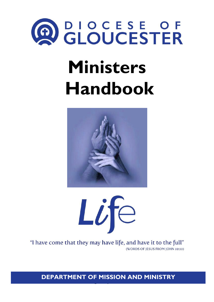

# **Ministers Handbook**





"I have come that they may have life, and have it to the full" (WORDS OF JESUS FROM JOHN 10:10)

**Emergency contacts DEPARTMENT OF MISSION AND MINISTRY**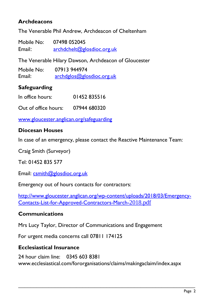## **Archdeacons**

The Venerable Phil Andrew, Archdeacon of Cheltenham

Mobile No: 07498 052045 Email: [archdchelt@glosdioc.org.uk](mailto:archdchelt@glosdioc.org.uk)

The Venerable Hilary Dawson, Archdeacon of Gloucester

| Mobile No: | 07913 944974              |
|------------|---------------------------|
| Email:     | archdglos@glosdioc.org.uk |

# **Safeguarding**

| In office hours: | 01452835516 |
|------------------|-------------|
|                  |             |

Out of office hours: 07944 680320

[www.gloucester.anglican.org/safeguarding](http://www.gloucester.anglican.org/safeguarding)

## **Diocesan Houses**

In case of an emergency, please contact the Reactive Maintenance Team:

Craig Smith (Surveyor)

Tel: 01452 835 577

Email: [csmith@glosdioc.org.uk](mailto:csmith@glosdioc.org.uk)

Emergency out of hours contacts for contractors:

[http://www.gloucester.anglican.org/wp-content/uploads/2018/03/Emergency-](http://www.gloucester.anglican.org/wp-content/uploads/2018/03/Emergency-Contacts-List-for-Approved-Contractors-March-2018.pdf)[Contacts-List-for-Approved-Contractors-March-](http://www.gloucester.anglican.org/wp-content/uploads/2018/03/Emergency-Contacts-List-for-Approved-Contractors-March-2018.pdf)2018.pdf

## **Communications**

Mrs Lucy Taylor, Director of Communications and Engagement

For urgent media concerns call 07811 174125

## **Ecclesiastical Insurance**

24 hour claim line: 0345 603 8381 www.ecclesiastical.com/fororganisations/claims/makingaclaim/index.aspx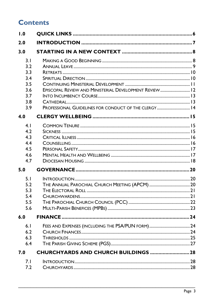# **Contents**

| 1.0 |                                                        |  |
|-----|--------------------------------------------------------|--|
| 2.0 |                                                        |  |
| 3.0 |                                                        |  |
| 3.1 |                                                        |  |
| 3.2 |                                                        |  |
| 3.3 |                                                        |  |
| 3.4 |                                                        |  |
| 3.5 |                                                        |  |
| 3.6 | EPISCOPAL REVIEW AND MINISTERIAL DEVELOPMENT REVIEW 12 |  |
| 3.7 |                                                        |  |
| 3.8 |                                                        |  |
| 3.9 | PROFESSIONAL GUIDELINES FOR CONDUCT OF THE CLERGY 14   |  |
| 4.0 |                                                        |  |
| 4.1 |                                                        |  |
| 4.2 |                                                        |  |
| 4.3 |                                                        |  |
| 4.4 |                                                        |  |
| 4.5 |                                                        |  |
| 4.6 |                                                        |  |
| 4.7 |                                                        |  |
| 5.0 |                                                        |  |
| 5.1 |                                                        |  |
| 5.2 |                                                        |  |
| 5.3 |                                                        |  |
| 5.4 |                                                        |  |
| 5.5 |                                                        |  |
| 5.6 |                                                        |  |
| 6.0 |                                                        |  |
| 6.1 |                                                        |  |
| 6.2 |                                                        |  |
| 6.3 |                                                        |  |
| 6.4 |                                                        |  |
| 7.0 |                                                        |  |
| 7.1 |                                                        |  |
| 7.2 |                                                        |  |
|     |                                                        |  |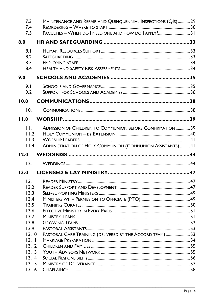| 7.3<br>7.4               | MAINTENANCE AND REPAIR AND QUINQUENNIAL INSPECTIONS (QIS)29 |  |
|--------------------------|-------------------------------------------------------------|--|
| 7.5                      | FACULTIES - WHEN DO I NEED ONE AND HOW DO I APPLY? 31       |  |
| 8.0                      |                                                             |  |
| 8.1<br>8.2<br>8.3<br>8.4 |                                                             |  |
| 9.0                      |                                                             |  |
| 9.1<br>9.2               |                                                             |  |
| 10.0                     |                                                             |  |
| 10.1                     |                                                             |  |
| 11.0                     |                                                             |  |
| 11.1<br>11.2<br>11.3     | ADMISSION OF CHILDREN TO COMMUNION BEFORE CONFIRMATION39    |  |
| 11.4                     | ADMINISTRATION OF HOLY COMMUNION (COMMUNION ASSISTANTS) 41  |  |
| 12.0                     |                                                             |  |
| 12.1                     |                                                             |  |
| 13.0                     |                                                             |  |
|                          |                                                             |  |
| 13.1                     |                                                             |  |
| 13.2<br>13.3             |                                                             |  |
| 13.4                     |                                                             |  |
| 13.5                     |                                                             |  |
| 13.6                     |                                                             |  |
| 13.7                     |                                                             |  |
| 13.8                     |                                                             |  |
| 13.9                     |                                                             |  |
| 13.10                    | PASTORAL CARE TRAINING (DELIVERED BY THE ACCORD TEAM)  53   |  |
| 13.11                    |                                                             |  |
| 13.12<br>13.13           |                                                             |  |
| 13.14                    |                                                             |  |
| 13.15                    |                                                             |  |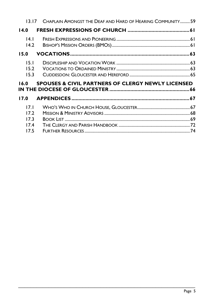| 13 17                | CHAPLAIN AMONGST THE DEAF AND HARD OF HEARING COMMUNITY59    |  |  |  |  |
|----------------------|--------------------------------------------------------------|--|--|--|--|
| 14.0                 |                                                              |  |  |  |  |
| 4 <br>14.2           |                                                              |  |  |  |  |
| 15.0                 |                                                              |  |  |  |  |
| 15.1<br>15.2         |                                                              |  |  |  |  |
| 15.3                 |                                                              |  |  |  |  |
| 16.0                 | <b>SPOUSES &amp; CIVIL PARTNERS OF CLERGY NEWLY LICENSED</b> |  |  |  |  |
| 17.0                 |                                                              |  |  |  |  |
| 17.1<br>17.2<br>17.3 |                                                              |  |  |  |  |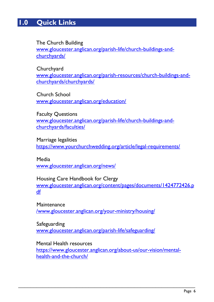# <span id="page-5-0"></span>**1.0 Quick Links**

## The Church Building

[www.gloucester.anglican.org/parish-life/church-buildings-and](http://www.gloucester.anglican.org/parish-life/church-buildings-and-churchyards/)[churchyards/](http://www.gloucester.anglican.org/parish-life/church-buildings-and-churchyards/)

#### **Churchyard**

[www.gloucester.anglican.org/parish-resources/church-buildings-and](http://www.gloucester.anglican.org/parish-resources/church-buildings-and-churchyards/churchyards/)[churchyards/churchyards/](http://www.gloucester.anglican.org/parish-resources/church-buildings-and-churchyards/churchyards/)

## Church School

[www.gloucester.anglican.org/education/](http://www.gloucester.anglican.org/education/)

#### Faculty Questions

[www.gloucester.anglican.org/parish-life/church-buildings-and](http://www.gloucester.anglican.org/parish-life/church-buildings-and-churchyards/faculties/)[churchyards/faculties/](http://www.gloucester.anglican.org/parish-life/church-buildings-and-churchyards/faculties/)

## Marriage legalities

<https://www.yourchurchwedding.org/article/legal-requirements/>

## Media

[www.gloucester.anglican.org/news/](http://www.gloucester.anglican.org/news/)

#### Housing Care Handbook for Clergy

[www.gloucester.anglican.org/content/pages/documents/1424772426.p](http://www.gloucester.anglican.org/content/pages/documents/1424772426.pdf) [df](http://www.gloucester.anglican.org/content/pages/documents/1424772426.pdf)

## **Maintenance** [/www.gloucester.anglican.org/your-ministry/housing/](http://www.gloucester.anglican.org/your-ministry/housing/)

## Safeguarding [www.gloucester.anglican.org/parish-life/safeguarding/](http://www.gloucester.anglican.org/parish-life/safeguarding/)

## Mental Health resources

[https://www.gloucester.anglican.org/about-us/our-vision/mental](https://www.gloucester.anglican.org/about-us/our-vision/mental-health-and-the-church/)[health-and-the-church/](https://www.gloucester.anglican.org/about-us/our-vision/mental-health-and-the-church/)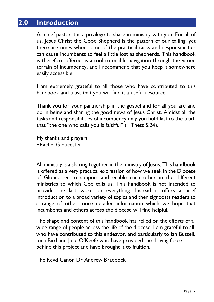# <span id="page-6-0"></span>**2.0 Introduction**

As chief pastor it is a privilege to share in ministry with you. For all of us, Jesus Christ the Good Shepherd is the pattern of our calling, yet there are times when some of the practical tasks and responsibilities can cause incumbents to feel a little lost as shepherds. This handbook is therefore offered as a tool to enable navigation through the varied terrain of incumbency, and I recommend that you keep it somewhere easily accessible.

I am extremely grateful to all those who have contributed to this handbook and trust that you will find it a useful resource.

Thank you for your partnership in the gospel and for all you are and do in being and sharing the good news of Jesus Christ. Amidst all the tasks and responsibilities of incumbency may you hold fast to the truth that "the one who calls you is faithful" (1 Thess 5:24).

My thanks and prayers +Rachel Gloucester

All ministry is a sharing together in the ministry of Jesus. This handbook is offered as a very practical expression of how we seek in the Diocese of Gloucester to support and enable each other in the different ministries to which God calls us. This handbook is not intended to provide the last word on everything. Instead it offers a brief introduction to a broad variety of topics and then signposts readers to a range of other more detailed information which we hope that incumbents and others across the diocese will find helpful.

The shape and content of this handbook has relied on the efforts of a wide range of people across the life of the diocese. I am grateful to all who have contributed to this endeavor, and particularly to Ian Bussell, Iona Bird and Julie O'Keefe who have provided the driving force behind this project and have brought it to fruition.

\_\_\_\_\_\_\_\_\_\_\_\_\_\_\_\_\_\_\_\_\_\_\_\_\_\_\_\_\_\_\_\_\_\_\_\_\_\_\_\_\_\_\_\_\_\_\_\_\_\_\_\_\_\_\_\_\_\_

The Revd Canon Dr Andrew Braddock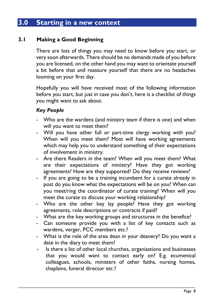# <span id="page-7-0"></span>**3.0 Starting in a new context**

## <span id="page-7-1"></span>**3.1 Making a Good Beginning**

There are lots of things you may need to know before you start, or very soon afterwards. There should be no demands made of you before you are licensed, on the other hand you may want to orientate yourself a bit before that and reassure yourself that there are no headaches looming on your first day.

Hopefully you will have received most of the following information before you start, but just in case you don't, here is a checklist of things you might want to ask about.

## *Key People*

- Who are the wardens (and ministry team if there is one) and when will you want to meet them?
- Will you have other full or part-time clergy working with you? When will you meet them? Most will have working agreements which may help you to understand something of their expectations of involvement in ministry.
- Are there Readers in the team? When will you meet them? What are their expectations of ministry? Have they got working agreements? How are they supported? Do they receive reviews?
- If you are going to be a training incumbent for a curate already in post do you know what the expectations will be on you? When can you meet/ring the coordinator of curate training? When will you meet the curate to discuss your working relationship?
- Who are the other key lay people? Have they got working agreements, role descriptions or contracts if paid?
- What are the key working groups and structures in the benefice?
- Can someone provide you with a list of key contacts such as wardens, verger, PCC members etc.?
- What is the role of the area dean in your deanery? Do you want a date in the diary to meet them?
- Is there a list of other local churches, organisations and businesses that you would want to contact early on? E.g. ecumenical colleagues, schools, ministers of other faiths, nursing homes, chaplains, funeral director etc.?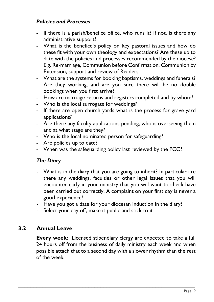## *Policies and Processes*

- If there is a parish/benefice office, who runs it? If not, is there any administrative support?
- What is the benefice's policy on key pastoral issues and how do these fit with your own theology and expectations? Are these up to date with the policies and processes recommended by the diocese? E.g. Re-marriage, Communion before Confirmation, Communion by Extension, support and review of Readers.
- What are the systems for booking baptisms, weddings and funerals? Are they working, and are you sure there will be no double bookings when you first arrive?
- How are marriage returns and registers completed and by whom?
- Who is the local surrogate for weddings?
- If there are open church yards what is the process for grave yard applications?
- Are there any faculty applications pending, who is overseeing them and at what stage are they?
- Who is the local nominated person for safeguarding?
- Are policies up to date?
- When was the safeguarding policy last reviewed by the PCC?

## *The Diary*

- What is in the diary that you are going to inherit? In particular are there any weddings, faculties or other legal issues that you will encounter early in your ministry that you will want to check have been carried out correctly. A complaint on your first day is never a good experience!
- Have you got a date for your diocesan induction in the diary?
- Select your day off, make it public and stick to it.

## <span id="page-8-0"></span>**3.2 Annual Leave**

**Every week:** Licensed stipendiary clergy are expected to take a full 24 hours off from the business of daily ministry each week and when possible attach that to a second day with a slower rhythm than the rest of the week.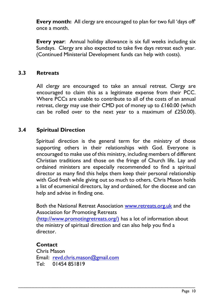**Every month:** All clergy are encouraged to plan for two full 'days off' once a month.

**Every year**: Annual holiday allowance is six full weeks including six Sundays. Clergy are also expected to take five days retreat each year. (Continued Ministerial Development funds can help with costs).

## <span id="page-9-0"></span>**3.3 Retreats**

All clergy are encouraged to take an annual retreat. Clergy are encouraged to claim this as a legitimate expense from their PCC. Where PCCs are unable to contribute to all of the costs of an annual retreat, clergy may use their CMD pot of money up to £160.00 (which can be rolled over to the next year to a maximum of  $£250.00$ ).

## <span id="page-9-1"></span>**3.4 Spiritual Direction**

Spiritual direction is the general term for the ministry of those supporting others in their relationships with God. Everyone is encouraged to make use of this ministry, including members of different Christian traditions and those on the fringe of Church life. Lay and ordained ministers are especially recommended to find a spiritual director as many find this helps them keep their personal relationship with God fresh while giving out so much to others. Chris Mason holds a list of ecumenical directors, lay and ordained, for the diocese and can help and advise in finding one.

Both the National Retreat Association [www.retreats.org.uk](http://www.retreats.org.uk/) and the Association for Promoting Retreats

[\(http://www.promotingretreats.org/\)](http://www.promotingretreats.org/)) has a lot of information about the ministry of spiritual direction and can also help you find a director.

\_\_\_\_\_\_\_\_\_\_\_\_\_\_\_\_\_\_\_\_\_\_\_\_\_\_\_\_\_\_\_\_\_\_\_\_\_\_\_\_\_\_\_\_\_\_\_\_\_\_\_\_\_\_\_\_\_\_

#### **Contact**

Chris Mason Email: [revd.chris.mason@gmail.com](mailto:revd.chris.mason@gmail.com) Tel: 01454 851819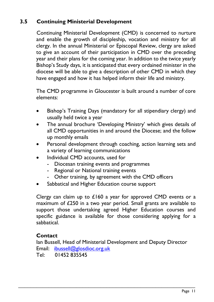# <span id="page-10-0"></span>**3.5 Continuing Ministerial Development**

Continuing Ministerial Development (CMD) is concerned to nurture and enable the growth of discipleship, vocation and ministry for all clergy. In the annual Ministerial or Episcopal Review, clergy are asked to give an account of their participation in CMD over the preceding year and their plans for the coming year. In addition to the twice yearly Bishop's Study days, it is anticipated that every ordained minister in the diocese will be able to give a description of other CMD in which they have engaged and how it has helped inform their life and ministry.

The CMD programme in Gloucester is built around a number of core elements:

- Bishop's Training Days (mandatory for all stipendiary clergy) and usually held twice a year
- The annual brochure 'Developing Ministry' which gives details of all CMD opportunities in and around the Diocese; and the follow up monthly emails
- Personal development through coaching, action learning sets and a variety of learning communications
- Individual CMD accounts, used for
	- Diocesan training events and programmes
	- Regional or National training events
	- Other training, by agreement with the CMD officers
- Sabbatical and Higher Education course support

Clergy can claim up to £160 a year for approved CMD events or a maximum of £250 in a two year period. Small grants are available to support those undertaking agreed Higher Education courses and specific guidance is available for those considering applying for a sabbatical.

## **Contact**

Ian Bussell, Head of Ministerial Development and Deputy Director Email: [ibussell@glosdioc.org.uk](mailto:ibussell@glosdioc.org.uk)

\_\_\_\_\_\_\_\_\_\_\_\_\_\_\_\_\_\_\_\_\_\_\_\_\_\_\_\_\_\_\_\_\_\_\_\_\_\_\_\_\_\_\_\_\_\_\_\_\_\_\_\_\_\_\_\_\_\_

Tel: 01452 835545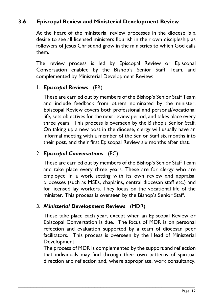# <span id="page-11-0"></span>**3.6 Episcopal Review and Ministerial Development Review**

At the heart of the ministerial review processes in the diocese is a desire to see all licensed ministers flourish in their own discipleship as followers of Jesus Christ and grow in the ministries to which God calls them.

The review process is led by Episcopal Review or Episcopal Conversation enabled by the Bishop's Senior Staff Team, and complemented by Ministerial Development Review:

## 1. *Episcopal Reviews* (ER)

These are carried out by members of the Bishop's Senior Staff Team and include feedback from others nominated by the minister. Episcopal Review covers both professional and personal/vocational life, sets objectives for the next review period, and takes place every three years. This process is overseen by the Bishop's Senior Staff. On taking up a new post in the diocese, clergy will usually have an informal meeting with a member of the Senior Staff six months into their post, and their first Episcopal Review six months after that.

## 2. *Episcopal Conversations* (EC)

These are carried out by members of the Bishop's Senior Staff Team and take place every three years. These are for clergy who are employed in a work setting with its own review and appraisal processes (such as MSEs, chaplains, central diocesan staff etc.) and for licensed lay workers. They focus on the vocational life of the minister. This process is overseen by the Bishop's Senior Staff.

## 3. *Ministerial Development Reviews* (MDR)

These take place each year, except when an Episcopal Review or Episcopal Conversation is due. The focus of MDR is on personal refection and evaluation supported by a team of diocesan peer facilitators. This process is overseen by the Head of Ministerial Development.

The process of MDR is complemented by the support and reflection that individuals may find through their own patterns of spiritual direction and reflection and, where appropriate, work consultancy.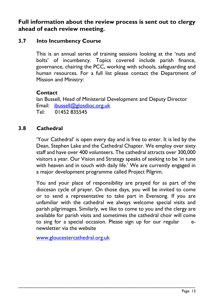**Full information about the review process is sent out to clergy ahead of each review meeting.**

## <span id="page-12-0"></span>**3.7 Into Incumbency Course**

This is an annual series of training sessions looking at the 'nuts and bolts' of incumbency. Topics covered include parish finance, governance, chairing the PCC, working with schools, safeguarding and human resources. For a full list please contact the Department of Mission and Ministry:

## **Contact**

Ian Bussell, Head of Ministerial Development and Deputy Director Email: [ibussell@glosdioc.org.uk](mailto:ibussell@glosdioc.org.uk) Tel: 01452 835545

## <span id="page-12-1"></span>**3.8 Cathedral**

'Your Cathedral' is open every day and is free to enter. It is led by the Dean, Stephen Lake and the Cathedral Chapter. We employ over sixty staff and have over 400 volunteers. The cathedral attracts over 300,000 visitors a year. Our Vision and Strategy speaks of seeking to be 'in tune with heaven and in touch with daily life.' We are currently engaged in a major development programme called Project Pilgrim.

You and your place of responsibility are prayed for as part of the diocesan cycle of prayer. On those days, you will be invited to come or to send a representative to take part in Evensong. If you are unfamiliar with the cathedral we always welcome special visits and parish pilgrimages. Similarly, we like to come to you and the clergy are available for parish visits and sometimes the cathedral choir will come to sing for a special occasion. Please sign up for our regular enewsletter via the website

\_\_\_\_\_\_\_\_\_\_\_\_\_\_\_\_\_\_\_\_\_\_\_\_\_\_\_\_\_\_\_\_\_\_\_\_\_\_\_\_\_\_\_\_\_\_\_\_\_\_\_\_\_\_\_\_\_\_

[www.gloucestercathedral.org.uk](http://www.gloucestercathedral.org.uk/)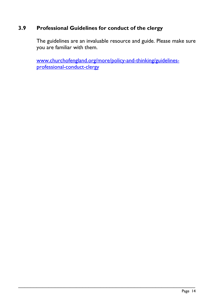# <span id="page-13-0"></span>**3.9 Professional Guidelines for conduct of the clergy**

The guidelines are an invaluable resource and guide. Please make sure you are familiar with them.

[www.churchofengland.org/more/policy-and-thinking/guidelines](http://www.churchofengland.org/more/policy-and-thinking/guidelines-professional-conduct-clergy)[professional-conduct-clergy](http://www.churchofengland.org/more/policy-and-thinking/guidelines-professional-conduct-clergy)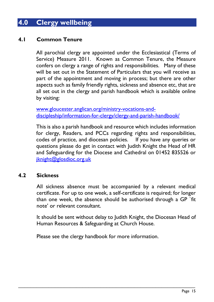# <span id="page-14-0"></span>**4.0 Clergy wellbeing**

## <span id="page-14-1"></span>**4.1 Common Tenure**

All parochial clergy are appointed under the Ecclesiastical (Terms of Service) Measure 2011. Known as Common Tenure, the Measure confers on clergy a range of rights and responsibilities. Many of these will be set out in the Statement of Particulars that you will receive as part of the appointment and moving in process; but there are other aspects such as family friendly rights, sickness and absence etc, that are all set out in the clergy and parish handbook which is available online by visiting:

[www.gloucester.anglican.org/ministry-vocations-and](http://www.gloucester.anglican.org/ministry-vocations-and-discipleship/information-for-clergy/clergy-and-parish-handbook/)[discipleship/information-for-clergy/clergy-and-parish-handbook/](http://www.gloucester.anglican.org/ministry-vocations-and-discipleship/information-for-clergy/clergy-and-parish-handbook/)

This is also a parish handbook and resource which includes information for clergy, Readers, and PCCs regarding rights and responsibilities, codes of practice, and diocesan policies. If you have any queries or questions please do get in contact with Judith Knight the Head of HR and Safeguarding for the Diocese and Cathedral on 01452 835526 or [jknight@glosdioc.org.uk](mailto:jknight@glosdioc.org.uk)

## <span id="page-14-2"></span>**4.2 Sickness**

All sickness absence must be accompanied by a relevant medical certificate. For up to one week, a self-certificate is required; for longer than one week, the absence should be authorised through a GP `fit note' or relevant consultant.

It should be sent without delay to Judith Knight, the Diocesan Head of Human Resources & Safeguarding at Church House.

Please see the clergy handbook for more information.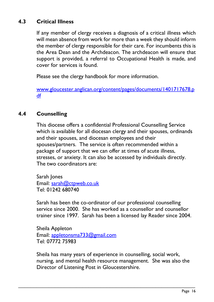# <span id="page-15-0"></span>**4.3 Critical Illness**

If any member of clergy receives a diagnosis of a critical illness which will mean absence from work for more than a week they should inform the member of clergy responsible for their care. For incumbents this is the Area Dean and the Archdeacon. The archdeacon will ensure that support is provided, a referral to Occupational Health is made, and cover for services is found.

Please see the clergy handbook for more information.

[www.gloucester.anglican.org/content/pages/documents/1401717678.p](http://www.gloucester.anglican.org/content/pages/documents/1401717678.pdf) [df](http://www.gloucester.anglican.org/content/pages/documents/1401717678.pdf)

## <span id="page-15-1"></span>**4.4 Counselling**

This diocese offers a confidential Professional Counselling Service which is available for all diocesan clergy and their spouses, ordinands and their spouses, and diocesan employees and their spouses/partners. The service is often recommended within a package of support that we can offer at times of acute illness, stresses, or anxiety. It can also be accessed by individuals directly. The two coordinators are:

Sarah Jones Email: [sarah@ctpweb.co.uk](mailto:sarah@ctpweb.co.uk)  Tel: 01242 680740

Sarah has been the co-ordinator of our professional counselling service since 2000. She has worked as a counsellor and counsellor trainer since 1997. Sarah has been a licensed lay Reader since 2004.

Sheila Appleton Email: [appletonsma733@gmail.com](mailto:appletonsma733@gmail.com) Tel: 07772 75983

Sheila has many years of experience in counselling, social work, nursing, and mental health resource management. She was also the Director of Listening Post in Gloucestershire.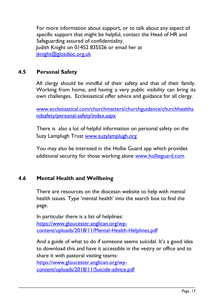For more information about support, or to talk about any aspect of specific support that might be helpful, contact the Head of HR and Safeguarding assured of confidentiality. Judith Knight on 01452 835526 or email her at [jknight@glosdioc.org.uk](mailto:jknight@glosdioc.org.uk)

## <span id="page-16-0"></span>**4.5 Personal Safety**

All clergy should be mindful of their safety and that of their family. Working from home, and having a very public visibility can bring its own challenges. Ecclesiastical offer advice and guidance for all clergy.

[www.ecclesiastical.com/churchmatters/churchguidance/churchhealtha](http://www.ecclesiastical.com/churchmatters/churchguidance/churchhealthandsafety/personal-safety/index.aspx) [ndsafety/personal-safety/index.aspx](http://www.ecclesiastical.com/churchmatters/churchguidance/churchhealthandsafety/personal-safety/index.aspx)

There is also a lot of helpful information on personal safety on the Suzy Lamplugh Trust [www.suzylamplugh.org](http://www.suzylamplugh.org/)

You may also be interesed in the Hollie Guard app which provides additional security for those working alone [www.hollieguard.com](http://www.hollieguard.com/)

## <span id="page-16-1"></span>**4.6 Mental Health and Wellbeing**

There are resources on the diocesan website to help with mental health issues. Type 'mental health' into the search box to find the page.

In particular there is a list of helplines: [https://www.gloucester.anglican.org/wp](https://www.gloucester.anglican.org/wp-content/uploads/2018/11/Mental-Health-Helplines.pdf)[content/uploads/2018/11/Mental-Health-Helplines.pdf](https://www.gloucester.anglican.org/wp-content/uploads/2018/11/Mental-Health-Helplines.pdf)

And a guide of what to do if someone seems suicidal. It's a good idea to download this and have it accessible in the vestry or office and to share it with pastoral visiting teams:

\_\_\_\_\_\_\_\_\_\_\_\_\_\_\_\_\_\_\_\_\_\_\_\_\_\_\_\_\_\_\_\_\_\_\_\_\_\_\_\_\_\_\_\_\_\_\_\_\_\_\_\_\_\_\_\_\_\_

[https://www.gloucester.anglican.org/wp](https://www.gloucester.anglican.org/wp-content/uploads/2018/11/Suicide-advice.pdf)[content/uploads/2018/11/Suicide-advice.pdf](https://www.gloucester.anglican.org/wp-content/uploads/2018/11/Suicide-advice.pdf)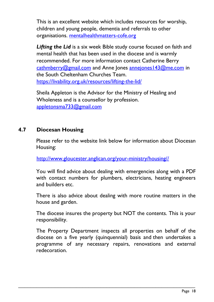This is an excellent website which includes resources for worship, children and young people, dementia and referrals to other organisations. [mentalhealthmatters-cofe.org](http://mentalhealthmatters-cofe.org/)

*Lifting the Lid* is a six week Bible study course focused on faith and mental health that has been used in the diocese and is warmly recommended. For more information contact Catherine Berry [cathmberry@gmail.com](mailto:cathmberry@gmail.com) and Anne Jones [annejones143@me.com](mailto:annejones143@me.com) in the South Cheltenham Churches Team. <https://livability.org.uk/resources/lifting-the-lid/>

Sheila Appleton is the Advisor for the Ministry of Healing and Wholeness and is a counsellor by profession. [appletonsma733@gmail.com](mailto:appletonsma733@gmail.com)

## <span id="page-17-0"></span>**4.7 Diocesan Housing**

Please refer to the website link below for information about Diocesan Housing:

[http://www.gloucester.anglican.org/your-ministry/housing//](http://www.gloucester.anglican.org/ministry-vocations-and-discipleship/information-for-clergy/housing/)

You will find advice about dealing with emergencies along with a PDF with contact numbers for plumbers, electricians, heating engineers and builders etc.

There is also advice about dealing with more routine matters in the house and garden.

The diocese insures the property but NOT the contents. This is your responsibility.

The Property Department inspects all properties on behalf of the diocese on a five yearly (quinquennial) basis and then undertakes a programme of any necessary repairs, renovations and external redecoration.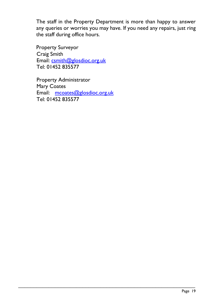The staff in the Property Department is more than happy to answer any queries or worries you may have. If you need any repairs, just ring the staff during office hours.

\_\_\_\_\_\_\_\_\_\_\_\_\_\_\_\_\_\_\_\_\_\_\_\_\_\_\_\_\_\_\_\_\_\_\_\_\_\_\_\_\_\_\_\_\_\_\_\_\_\_\_\_\_\_\_\_\_\_

Property Surveyor Craig Smith Email: [csmith@glosdioc.org.uk](mailto:csmith@glosdioc.org.uk) Tel: 01452 835577

Property Administrator Mary Coates Email: [mcoates@glosdioc.org.uk](mailto:mcoates@glosdioc.org.uk) Tel: 01452 835577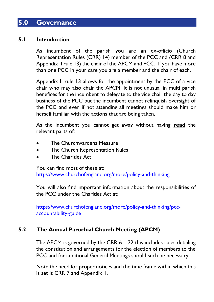# <span id="page-19-0"></span>**5.0 Governance**

## <span id="page-19-1"></span>**5.1 Introduction**

As incumbent of the parish you are an ex-officio (Church Representation Rules (CRR) 14) member of the PCC and (CRR 8 and Appendix II rule 13) the chair of the APCM and PCC. If you have more than one PCC in your care you are a member and the chair of each.

Appendix II rule 13 allows for the appointment by the PCC of a vice chair who may also chair the APCM. It is not unusual in multi parish benefices for the incumbent to delegate to the vice chair the day to day business of the PCC but the incumbent cannot relinquish oversight of the PCC and even if not attending all meetings should make him or herself familiar with the actions that are being taken.

As the incumbent you cannot get away without having **read** the relevant parts of:

- The Churchwardens Measure
- The Church Representation Rules
- The Charities Act

You can find most of these at:

<https://www.churchofengland.org/more/policy-and-thinking>

You will also find important information about the responsibilities of the PCC under the Charities Act at:

[https://www.churchofengland.org/more/policy-and-thinking/pcc](https://www.churchofengland.org/more/policy-and-thinking/pcc-accountability-guide)[accountability-guide](https://www.churchofengland.org/more/policy-and-thinking/pcc-accountability-guide)

# <span id="page-19-2"></span>**5.2 The Annual Parochial Church Meeting (APCM)**

The APCM is governed by the CRR  $6 - 22$  this includes rules detailing the constitution and arrangements for the election of members to the PCC and for additional General Meetings should such be necessary.

Note the need for proper notices and the time frame within which this is set is CRR 7 and Appendix 1.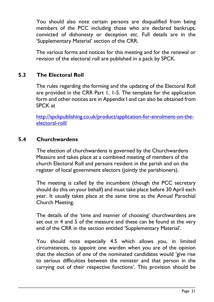You should also note certain persons are disqualified from being members of the PCC including those who are declared bankrupt, convicted of dishonesty or deception etc. Full details are in the 'Supplementary Material' section of the CRR.

The various forms and notices for this meeting and for the renewal or revision of the electoral roll are published in a pack by SPCK.

# <span id="page-20-0"></span>**5.3 The Electoral Roll**

The rules regarding the forming and the updating of the Electoral Roll are provided in the CRR Part 1, 1-5. The template for the application form and other notices are in Appendix I and can also be obtained from SPCK at

[http://spckpublishing.co.uk/product/application-for-enrolment-on-the](http://spckpublishing.co.uk/product/application-for-enrolment-on-the-electoral-roll/)[electoral-roll/](http://spckpublishing.co.uk/product/application-for-enrolment-on-the-electoral-roll/)

## <span id="page-20-1"></span>**5.4 Churchwardens**

The election of churchwardens is governed by the Churchwardens Measure and takes place at a combined meeting of members of the church Electoral Roll and persons resident in the parish and on the register of local government electors (jointly the parishioners).

The meeting is called by the incumbent (though the PCC secretary should do this on your behalf) and must take place before 30 April each year. It usually takes place at the same time as the Annual Parochial Church Meeting.

The details of the 'time and manner of choosing' churchwardens are set out in 4 and 5 of the measure and these can be found at the very end of the CRR in the section entitled 'Supplementary Material'.

You should note especially 4.5 which allows you, in limited circumstances, to appoint one warden when you are of the opinion that the election of one of the nominated candidates would 'give rise to serious difficulties between the minister and that person in the carrying out of their respective functions'. This provision should be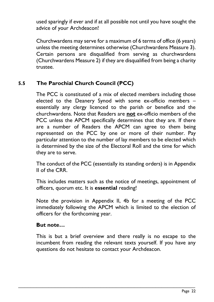used sparingly if ever and if at all possible not until you have sought the advice of your Archdeacon!

Churchwardens may serve for a maximum of 6 terms of office (6 years) unless the meeting determines otherwise (Churchwardens Measure 3). Certain persons are disqualified from serving as churchwardens (Churchwardens Measure 2) if they are disqualified from being a charity trustee.

## <span id="page-21-0"></span>**5.5 The Parochial Church Council (PCC)**

The PCC is constituted of a mix of elected members including those elected to the Deanery Synod with some ex-officio members – essentially any clergy licenced to the parish or benefice and the churchwardens. Note that Readers are **not** ex-officio members of the PCC unless the APCM specifically determines that they are. If there are a number of Readers the APCM can agree to them being represented on the PCC by one or more of their number. Pay particular attention to the number of lay members to be elected which is determined by the size of the Electoral Roll and the time for which they are to serve.

The conduct of the PCC (essentially its standing orders) is in Appendix II of the CRR.

This includes matters such as the notice of meetings, appointment of officers, quorum etc. It is **essential** reading!

Note the provision in Appendix II, 4b for a meeting of the PCC immediately following the APCM which is limited to the election of officers for the forthcoming year.

## **But note…**

This is but a brief overview and there really is no escape to the incumbent from reading the relevant texts yourself. If you have any questions do not hesitate to contact your Archdeacon.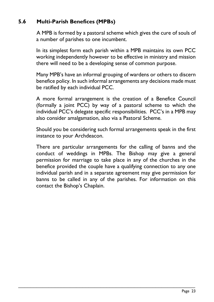# <span id="page-22-0"></span>**5.6 Multi-Parish Benefices (MPBs)**

A MPB is formed by a pastoral scheme which gives the cure of souls of a number of parishes to one incumbent.

In its simplest form each parish within a MPB maintains its own PCC working independently however to be effective in ministry and mission there will need to be a developing sense of common purpose.

Many MPB's have an informal grouping of wardens or others to discern benefice policy. In such informal arrangements any decisions made must be ratified by each individual PCC.

A more formal arrangement is the creation of a Benefice Council (formally a joint PCC) by way of a pastoral scheme to which the individual PCC's delegate specific responsibilities. PCC's in a MPB may also consider amalgamation, also via a Pastoral Scheme.

Should you be considering such formal arrangements speak in the first instance to your Archdeacon.

There are particular arrangements for the calling of banns and the conduct of weddings in MPBs. The Bishop may give a general permission for marriage to take place in any of the churches in the benefice provided the couple have a qualifying connection to any one individual parish and in a separate agreement may give permission for banns to be called in any of the parishes. For information on this contact the Bishop's Chaplain.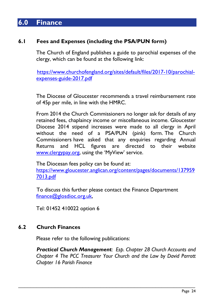# <span id="page-23-0"></span>**6.0 Finance**

## <span id="page-23-1"></span>**6.1 Fees and Expenses (including the PSA/PUN form)**

The Church of England publishes a guide to parochial expenses of the clergy, which can be found at the following link:

 [https://www.churchofengland.org/sites/default/files/2017-10/parochial](https://www.churchofengland.org/sites/default/files/2017-10/parochial-expenses-guide-2017.pdf)[expenses-guide-2017.pdf](https://www.churchofengland.org/sites/default/files/2017-10/parochial-expenses-guide-2017.pdf)

The Diocese of Gloucester recommends a travel reimbursement rate of 45p per mile, in line with the HMRC.

From 2014 the Church Commissioners no longer ask for details of any retained fees, chaplaincy income or miscellaneous income. Gloucester Diocese 2014 stipend increases were made to all clergy in April without the need of a PSA/PUN (pink) form. The Church Commissioners have asked that any enquiries regarding Annual Returns and HCL figures are directed to their website [www.clergypay.org](http://www.clergypay.org/), using the 'MyView' service.

The Diocesan fees policy can be found at: [https://www.gloucester.anglican.org/content/pages/documents/137959](https://www.gloucester.anglican.org/content/pages/documents/1379597013.pdf) [7013.pdf](https://www.gloucester.anglican.org/content/pages/documents/1379597013.pdf)

To discuss this further please contact the Finance Department [finance@glosdioc.org.uk,](mailto:finance@glosdioc.org.uk)

Tel: 01452 410022 option 6

## <span id="page-23-2"></span>**6.2 Church Finances**

Please refer to the following publications:

*Practical Church Management: Esp. Chapter 28 Church Accounts and Chapter 4 The PCC Treasurer Your Church and the Law by David Parrott Chapter 16 Parish Finance*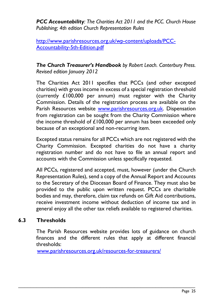*PCC Accountability: The Charities Act 2011 and the PCC. Church House Publishing; 4th edition Church Representation Rules*

[http://www.parishresources.org.uk/wp-content/uploads/PCC-](http://www.parishresources.org.uk/wp-content/uploads/PCC-Accountability-5th-Edition.pdf)[Accountability-5th-Edition.pdf](http://www.parishresources.org.uk/wp-content/uploads/PCC-Accountability-5th-Edition.pdf)

## *The Church Treasurer's Handbook by Robert Leach. Canterbury Press. Revised edition January 2012*

The Charities Act 2011 specifies that PCCs (and other excepted charities) with gross income in excess of a special registration threshold (currently £100,000 per annum) must register with the Charity Commission. Details of the registration process are available on the Parish Resources website [www.parishresources.org.uk.](http://www.parishresources.org.uk/) Dispensation from registration can be sought from the Charity Commission where the income threshold of £100,000 per annum has been exceeded only because of an exceptional and non-recurring item.

Excepted status remains for all PCCs which are not registered with the Charity Commission. Excepted charities do not have a charity registration number and do not have to file an annual report and accounts with the Commission unless specifically requested.

All PCCs, registered and accepted, must, however (under the Church Representation Rules), send a copy of the Annual Report and Accounts to the Secretary of the Diocesan Board of Finance. They must also be provided to the public upon written request. PCCs are charitable bodies and may, therefore, claim tax refunds on Gift Aid contributions, receive investment income without deduction of income tax and in general enjoy all the other tax reliefs available to registered charities.

## <span id="page-24-0"></span>**6.3 Thresholds**

The Parish Resources website provides lots of guidance on church finances and the different rules that apply at different financial thresholds:

[www.parishresources.org.uk/resources-for-treasurers/](http://www.parishresources.org.uk/resources-for-treasurers/)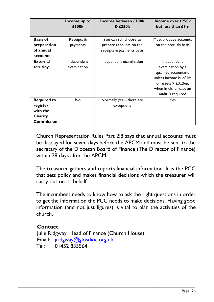|                                                                     | Income up to<br>£100 <sub>k</sub> | Income between £100k<br>& £250k                                                 | Income over £250k<br>but less than £1m                                                                                                                                  |
|---------------------------------------------------------------------|-----------------------------------|---------------------------------------------------------------------------------|-------------------------------------------------------------------------------------------------------------------------------------------------------------------------|
| <b>Basis of</b><br>preparation<br>of annual<br>accounts             | Receipts &<br>payments            | You can still choose to<br>prepare accounts on the<br>receipts & payments basis | Must produce accounts<br>on the accruals basis                                                                                                                          |
| <b>External</b><br>scrutiny                                         | Independent<br>examination        | Independent examination                                                         | Independent<br>examination by a<br>qualified accountant,<br>unless income is $\geq \text{L}$ lm<br>or assets $>$ £3.26m,<br>when in either case an<br>audit is required |
| <b>Required to</b><br>register<br>with the<br>Charity<br>Commission | No                                | Normally yes – there are<br>exceptions                                          | Yes                                                                                                                                                                     |

 Church Representation Rules Part 2:8 says that annual accounts must be displayed for seven days before the APCM and must be sent to the secretary of the Diocesan Board of Finance (The Director of Finance) within 28 days after the APCM.

The treasurer gathers and reports financial information. It is the PCC that sets policy and makes financial decisions which the treasurer will carry out on its behalf.

The incumbent needs to know how to ask the right questions in order to get the information the PCC needs to make decisions. Having good information (and not just figures) is vital to plan the activities of the church.

## **Contact**

 Julie Ridgway, Head of Finance (Church House) Email: [jridgway@glosdioc.org.uk](mailto:jridgway@glosdioc.org.uk) Tel: 01452 835564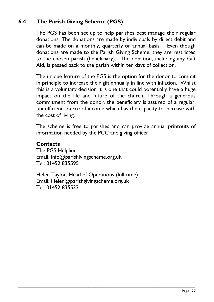# <span id="page-26-0"></span>**6.4 The Parish Giving Scheme (PGS)**

The PGS has been set up to help parishes best manage their regular donations. The donations are made by individuals by direct debit and can be made on a monthly, quarterly or annual basis. Even though donations are made to the Parish Giving Scheme, they are restricted to the chosen parish (beneficiary). The donation, including any Gift Aid, is passed back to the parish within ten days of collection.

The unique feature of the PGS is the option for the donor to commit in principle to increase their gift annually in line with inflation. Whilst this is a voluntary decision it is one that could potentially have a huge impact on the life and future of the church. Through a generous commitment from the donor, the beneficiary is assured of a regular, tax efficient source of income which has the capacity to increase with the cost of living.

The scheme is free to parishes and can provide annual printouts of information needed by the PCC and giving officer.

## **Contacts**

The PGS Helpline Email: [info@parishivingscheme.org.uk](mailto:info@parishivingscheme.org.uk)  Tel: 01452 835595

Helen Taylor, Head of Operations (full-time) Email: [Helen@parishgivingscheme.org.uk](mailto:Helen@parishgivingscheme.org.uk) Tel: 01452 835533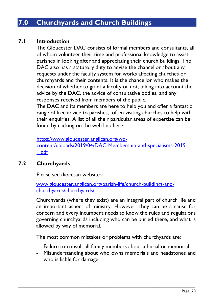# <span id="page-27-0"></span>**7.0 Churchyards and Church Buildings**

## <span id="page-27-1"></span>**7.1 Introduction**

The Gloucester DAC consists of formal members and consultants, all of whom volunteer their time and professional knowledge to assist parishes in looking after and appreciating their church buildings. The DAC also has a statutory duty to advise the chancellor about any requests under the faculty system for works affecting churches or churchyards and their contents. It is the chancellor who makes the decision of whether to grant a faculty or not, taking into account the advice by the DAC, the advice of consultative bodies, and any responses received from members of the public.

The DAC and its members are here to help you and offer a fantastic range of free advice to parishes, often visiting churches to help with their enquiries. A list of all their particular areas of expertise can be found by clicking on the web link here:

[https://www.gloucester.anglican.org/wp](https://www.gloucester.anglican.org/wp-content/uploads/2019/04/DAC-Membership-and-specialisms-2019-1.pdf)[content/uploads/2019/04/DAC-Membership-and-specialisms-2019-](https://www.gloucester.anglican.org/wp-content/uploads/2019/04/DAC-Membership-and-specialisms-2019-1.pdf) [1.pdf](https://www.gloucester.anglican.org/wp-content/uploads/2019/04/DAC-Membership-and-specialisms-2019-1.pdf)

## <span id="page-27-2"></span>**7.2 Churchyards**

Please see diocesan website:-

[www.gloucester.anglican.org/parish-life/church-buildings-and](http://www.gloucester.anglican.org/parish-life/church-buildings-and-churchyards/churchyards/)[churchyards/churchyards/](http://www.gloucester.anglican.org/parish-life/church-buildings-and-churchyards/churchyards/)

Churchyards (where they exist) are an integral part of church life and an important aspect of ministry. However, they can be a cause for concern and every incumbent needs to know the rules and regulations governing churchyards including who can be buried there, and what is allowed by way of memorial.

The most common mistakes or problems with churchyards are:

- Failure to consult all family members about a burial or memorial
- Misunderstanding about who owns memorials and headstones and who is liable for damage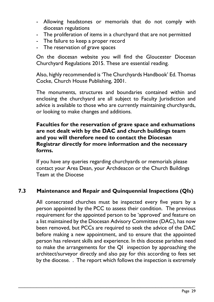- Allowing headstones or memorials that do not comply with diocesan regulations
- The proliferation of items in a churchyard that are not permitted
- The failure to keep a proper record
- The reservation of grave spaces

On the diocesan website you will find the Gloucester Diocesan Churchyard Regulations 2015. These are essential reading.

Also, highly recommended is 'The Churchyards Handbook' Ed. Thomas Cocke, Church House Publishing, 2001.

The monuments, structures and boundaries contained within and enclosing the churchyard are all subject to Faculty Jurisdiction and advice is available to those who are currently maintaining churchyards, or looking to make changes and additions.

## **Faculties for the reservation of grave space and exhumations are not dealt with by the DAC and church buildings team and you will therefore need to contact the Diocesan Registrar directly for more information and the necessary forms.**

If you have any queries regarding churchyards or memorials please contact your Area Dean, your Archdeacon or the Church Buildings Team at the Diocese

# <span id="page-28-0"></span>**7.3 Maintenance and Repair and Quinquennial Inspections (QIs)**

\_\_\_\_\_\_\_\_\_\_\_\_\_\_\_\_\_\_\_\_\_\_\_\_\_\_\_\_\_\_\_\_\_\_\_\_\_\_\_\_\_\_\_\_\_\_\_\_\_\_\_\_\_\_\_\_\_\_

All consecrated churches must be inspected every five years by a person appointed by the PCC to assess their condition. The previous requirement for the appointed person to be 'approved' and feature on a list maintained by the Diocesan Advisory Committee (DAC), has now been removed, but PCCs are required to seek the advice of the DAC before making a new appointment, and to ensure that the appointed person has relevant skills and experience. In this diocese parishes need to make the arrangements for the QI inspection by approaching the architect/surveyor directly and also pay for this according to fees set by the diocese. . The report which follows the inspection is extremely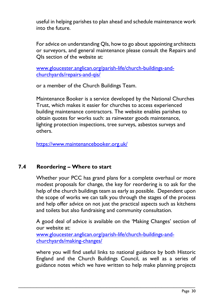useful in helping parishes to plan ahead and schedule maintenance work into the future.

For advice on understanding QIs, how to go about appointing architects or surveyors, and general maintenance please consult the Repairs and QIs section of the website at:

[www.gloucester.anglican.org/parish-life/church-buildings-and](http://www.gloucester.anglican.org/parish-life/church-buildings-and-churchyards/repairs-and-qis/)[churchyards/repairs-and-qis/](http://www.gloucester.anglican.org/parish-life/church-buildings-and-churchyards/repairs-and-qis/)

or a member of the Church Buildings Team.

Maintenance Booker is a service developed by the National Churches Trust, which makes it easier for churches to access experienced building maintenance contractors. The website enables parishes to obtain quotes for works such: as rainwater goods maintenance, lighting protection inspections, tree surveys, asbestos surveys and others.

<https://www.maintenancebooker.org.uk/>

## <span id="page-29-0"></span>**7.4 Reordering – Where to start**

Whether your PCC has grand plans for a complete overhaul or more modest proposals for change, the key for reordering is to ask for the help of the church buildings team as early as possible. Dependent upon the scope of works we can talk you through the stages of the process and help offer advice on not just the practical aspects such as kitchens and toilets but also fundraising and community consultation.

A good deal of advice is available on the 'Making Changes' section of our website at:

[www.gloucester.anglican.org/parish-life/church-buildings-and](http://www.gloucester.anglican.org/parish-life/church-buildings-and-churchyards/making-changes/)[churchyards/making-changes/](http://www.gloucester.anglican.org/parish-life/church-buildings-and-churchyards/making-changes/)

\_\_\_\_\_\_\_\_\_\_\_\_\_\_\_\_\_\_\_\_\_\_\_\_\_\_\_\_\_\_\_\_\_\_\_\_\_\_\_\_\_\_\_\_\_\_\_\_\_\_\_\_\_\_\_\_\_\_

where you will find useful links to national guidance by both Historic England and the Church Buildings Council, as well as a series of guidance notes which we have written to help make planning projects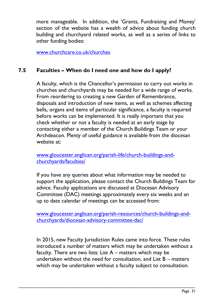more manageable. In addition, the 'Grants, Fundraising and Money' section of the website has a wealth of advice about funding church building and churchyard related works, as well as a series of links to other funding bodies:

[www.churchcare.co.uk/churches](http://www.churchcare.co.uk/churches)

## <span id="page-30-0"></span>**7.5 Faculties – When do I need one and how do I apply?**

A faculty, which is the Chancellor's permission to carry out works in churches and churchyards may be needed for a wide range of works. From reordering to creating a new Garden of Remembrance, disposals and introduction of new items, as well as schemes affecting bells, organs and items of particular significance, a faculty is required before works can be implemented. It is really important that you check whether or not a faculty is needed at an early stage by contacting either a member of the Church Buildings Team or your Archdeacon. Plenty of useful guidance is available from the diocesan website at:

[www.gloucester.anglican.org/parish-life/church-buildings-and](http://www.gloucester.anglican.org/parish-life/church-buildings-and-churchyards/faculties/)[churchyards/faculties/](http://www.gloucester.anglican.org/parish-life/church-buildings-and-churchyards/faculties/)

If you have any queries about what information may be needed to support the application, please contact the Church Buildings Team for advice. Faculty applications are discussed at Diocesan Advisory Committee (DAC) meetings approximately every six weeks and an up to date calendar of meetings can be accessed from:

[www.gloucester.anglican.org/parish-resources/church-buildings-and](http://www.gloucester.anglican.org/parish-resources/church-buildings-and-churchyards/diocesan-advisory-committee-dac/)[churchyards/diocesan-advisory-committee-dac/](http://www.gloucester.anglican.org/parish-resources/church-buildings-and-churchyards/diocesan-advisory-committee-dac/)

In 2015, new Faculty Jurisdiction Rules came into force. These rules introduced a number of matters which may be undertaken without a faculty. There are two lists: List A – matters which may be undertaken without the need for consultation, and List B – matters which may be undertaken without a faculty subject to consultation.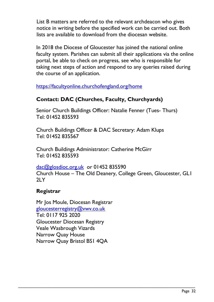List B matters are referred to the relevant archdeacon who gives notice in writing before the specified work can be carried out. Both lists are available to download from the diocesan website.

In 2018 the Diocese of Gloucester has joined the national online faculty system. Parishes can submit all their applications via the online portal, be able to check on progress, see who is responsible for taking next steps of action and respond to any queries raised during the course of an application.

<https://facultyonline.churchofengland.org/home>

# **Contact: DAC (Churches, Faculty, Churchyards)**

Senior Church Buildings Officer: Natalie Fenner (Tues- Thurs) Tel: 01452 835593

Church Buildings Officer & DAC Secretary: Adam Klups Tel: 01452 835567

Church Buildings Administrator: Catherine McGirr Tel: 01452 835593

[dac@glosdioc.org.uk](mailto:dac@glosdioc.org.uk) or 01452 835590 Church House – The Old Deanery, College Green, Gloucester, GL1  $2IY$ 

\_\_\_\_\_\_\_\_\_\_\_\_\_\_\_\_\_\_\_\_\_\_\_\_\_\_\_\_\_\_\_\_\_\_\_\_\_\_\_\_\_\_\_\_\_\_\_\_\_\_\_\_\_\_\_\_\_\_

## **Registrar**

Mr Jos Moule, Diocesan Registrar [gloucesterregistry@vwv.co.uk](mailto:gloucesterregistry@vwv.co.uk)  Tel: 0117 925 2020 Gloucester Diocesan Registry Veale Wasbrough Vizards Narrow Quay House Narrow Quay Bristol BS1 4QA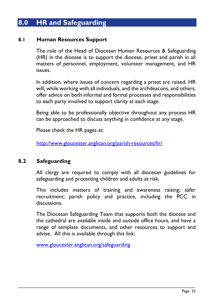# <span id="page-32-0"></span>**8.0 HR and Safeguarding**

## <span id="page-32-1"></span>**8.1 Human Resources Support**

The role of the Head of Diocesan Human Resources & Safeguarding (HR) in the diocese is to support the diocese, priest and parish in all matters of personnel, employment, volunteer management, and HR issues.

In addition, where issues of concern regarding a priest are raised, HR will, while working with all individuals, and the archdeacons, and others, offer advice on both informal and formal processes and responsibilities to each party involved to support clarity at each stage.

Being able to be professionally objective throughout any process HR can be approached to discuss anything in confidence at any stage.

Please check the HR pages at:

<http://www.gloucester.anglican.org/parish-resources/hr/>

#### <span id="page-32-2"></span>**8.2 Safeguarding**

All clergy are required to comply with all diocesan guidelines for safeguarding and protecting children and adults at risk.

This includes matters of training and awareness raising; safer recruitment; parish policy and practice, including the PCC in discussions.

The Diocesan Safeguarding Team that supports both the diocese and the cathedral are available inside and outside office hours, and have a range of template documents, and other resources to support and advise. All this is available through this link:

\_\_\_\_\_\_\_\_\_\_\_\_\_\_\_\_\_\_\_\_\_\_\_\_\_\_\_\_\_\_\_\_\_\_\_\_\_\_\_\_\_\_\_\_\_\_\_\_\_\_\_\_\_\_\_\_\_\_

[www.gloucester.anglican.org/safeguarding](http://www.gloucester.anglican.org/safeguarding)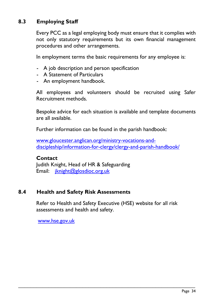# <span id="page-33-0"></span>**8.3 Employing Staff**

Every PCC as a legal employing body must ensure that it complies with not only statutory requirements but its own financial management procedures and other arrangements.

In employment terms the basic requirements for any employee is:

- A job description and person specification
- A Statement of Particulars
- An employment handbook.

All employees and volunteers should be recruited using Safer Recruitment methods.

Bespoke advice for each situation is available and template documents are all available.

Further information can be found in the parish handbook:

[www.gloucester.anglican.org/ministry-vocations-and](http://www.gloucester.anglican.org/ministry-vocations-and-discipleship/information-for-clergy/clergy-and-parish-handbook/)[discipleship/information-for-clergy/clergy-and-parish-handbook/](http://www.gloucester.anglican.org/ministry-vocations-and-discipleship/information-for-clergy/clergy-and-parish-handbook/)

#### **Contact**

Judith Knight, Head of HR & Safeguarding Email: [jknight@glosdioc.org.uk](mailto:jknight@glosdioc.org.uk)

## <span id="page-33-1"></span>**8.4 Health and Safety Risk Assessments**

Refer to Health and Safety Executive (HSE) website for all risk assessments and health and safety.

\_\_\_\_\_\_\_\_\_\_\_\_\_\_\_\_\_\_\_\_\_\_\_\_\_\_\_\_\_\_\_\_\_\_\_\_\_\_\_\_\_\_\_\_\_\_\_\_\_\_\_\_\_\_\_\_\_\_

[www.hse.gov.uk](http://www.hse.gov.uk/)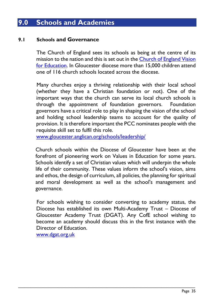# <span id="page-34-0"></span>**9.0 Schools and Academies**

#### <span id="page-34-1"></span>**9.1 Schools and Governance**

The Church of England sees its schools as being at the centre of its mission to the nation and this is set out in the [Church of England Vision](https://www.churchofengland.org/media/2532968/gs_2039_-_church_of_england_vision_for_education.pdf)  [for Education.](https://www.churchofengland.org/media/2532968/gs_2039_-_church_of_england_vision_for_education.pdf) In Gloucester diocese more than 15,000 children attend one of 116 church schools located across the diocese.

Many churches enjoy a thriving relationship with their local school (whether they have a Christian foundation or not). One of the important ways that the church can serve its local church schools is through the appointment of foundation governors. Foundation governors have a critical role to play in shaping the vision of the school and holding school leadership teams to account for the quality of provision. It is therefore important the PCC nominates people with the requisite skill set to fulfil this role.

[www.gloucester.anglican.org/schools/leadership/](http://www.gloucester.anglican.org/schools/leadership/)

Church schools within the Diocese of Gloucester have been at the forefront of pioneering work on Values in Education for some years. Schools identify a set of Christian values which will underpin the whole life of their community. These values inform the school's vision, aims and ethos, the design of curriculum, all policies, the planning for spiritual and moral development as well as the school's management and governance.

For schools wishing to consider converting to academy status, the Diocese has established its own Multi-Academy Trust – Diocese of Gloucester Academy Trust (DGAT). Any CofE school wishing to become an academy should discuss this in the first instance with the Director of Education.

\_\_\_\_\_\_\_\_\_\_\_\_\_\_\_\_\_\_\_\_\_\_\_\_\_\_\_\_\_\_\_\_\_\_\_\_\_\_\_\_\_\_\_\_\_\_\_\_\_\_\_\_\_\_\_\_\_\_

[www.dgat.org.uk](http://www.dgat.org.uk/)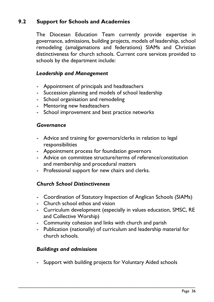# <span id="page-35-0"></span>**9.2 Support for Schools and Academies**

The Diocesan Education Team currently provide expertise in governance, admissions, building projects, models of leadership, school remodeling (amalgamations and federations) SIAMs and Christian distinctiveness for church schools. Current core services provided to schools by the department include:

## *Leadership and Management*

- Appointment of principals and headteachers
- Succession planning and models of school leadership
- School organisation and remodeling
- Mentoring new headteachers
- School improvement and best practice networks

#### *Governance*

- Advice and training for governors/clerks in relation to legal responsibilities
- Appointment process for foundation governors
- Advice on committee structure/terms of reference/constitution and membership and procedural matters
- Professional support for new chairs and clerks.

## *Church School Distinctiveness*

- Coordination of Statutory Inspection of Anglican Schools (SIAMs)
- Church school ethos and vision
- Curriculum development (especially in values education, SMSC, RE and Collective Worship)
- Community cohesion and links with church and parish
- Publication (nationally) of curriculum and leadership material for church schools.

#### *Buildings and admissions*

- Support with building projects for Voluntary Aided schools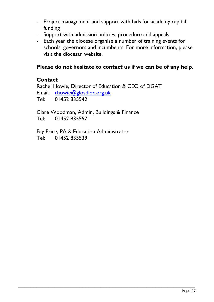- Project management and support with bids for academy capital funding
- Support with admission policies, procedure and appeals
- Each year the diocese organise a number of training events for schools, governors and incumbents. For more information, please visit the diocesan website.

#### **Please do not hesitate to contact us if we can be of any help.**

#### **Contact**

Rachel Howie, Director of Education & CEO of DGAT Email: [rhowie@glosdioc.org.uk](mailto:rhowie@glosdioc.org.uk) Tel: 01452 835542

\_\_\_\_\_\_\_\_\_\_\_\_\_\_\_\_\_\_\_\_\_\_\_\_\_\_\_\_\_\_\_\_\_\_\_\_\_\_\_\_\_\_\_\_\_\_\_\_\_\_\_\_\_\_\_\_\_\_

Clare Woodman, Admin, Buildings & Finance Tel: 01452 835557

Fay Price, PA & Education Administrator Tel: 01452 835539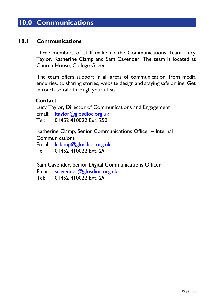## **10.0 Communications**

#### **10.1 Communications**

Three members of staff make up the Communications Team: Lucy Taylor, Katherine Clamp and Sam Cavender. The team is located at Church House, College Green.

 The team offers support in all areas of communication, from media enquiries, to sharing stories, website design and staying safe online. Get in touch to talk through your ideas.

#### **Contact**

Lucy Taylor, Director of Communications and Engagement Email: [ltaylor@glosdioc.org.uk](mailto:ltaylor@glosdioc.org.uk) Tel: 01452 410022 Ext. 250

Katherine Clamp, Senior Communications Officer – Internal Communications

Email: [kclamp@glosdioc.org.uk](mailto:kclamp@glosdioc.org.uk)

Tel 01452 410022 Ext. 291

Sam Cavender, Senior Digital Communications Officer

\_\_\_\_\_\_\_\_\_\_\_\_\_\_\_\_\_\_\_\_\_\_\_\_\_\_\_\_\_\_\_\_\_\_\_\_\_\_\_\_\_\_\_\_\_\_\_\_\_\_\_\_\_\_\_\_\_\_

Email: [scavender@glosdioc.org.uk](mailto:scavender@glosdioc.org.uk)

Tel: 01452 410022 Ext. 291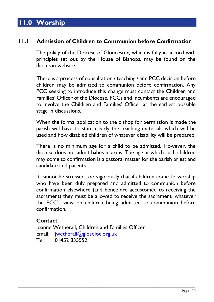## **11.0 Worship**

#### **11.1 Admission of Children to Communion before Confirmation**

The policy of the Diocese of Gloucester, which is fully in accord with principles set out by the House of Bishops, may be found on the diocesan website.

There is a process of consultation / teaching / and PCC decision before children may be admitted to communion before confirmation. Any PCC seeking to introduce this change must contact the Children and Families' Officer of the Diocese. PCCs and incumbents are encouraged to involve the Children and Families' Officer at the earliest possible stage in discussions.

When the formal application to the bishop for permission is made the parish will have to state clearly the teaching materials which will be used and how disabled children of whatever disability will be prepared.

There is no minimum age for a child to be admitted. However, the diocese does not admit babes in arms. The age at which such children may come to confirmation is a pastoral matter for the parish priest and candidate and parents.

It cannot be stressed too vigorously that if children come to worship who have been duly prepared and admitted to communion before confirmation elsewhere (and hence are accustomed to receiving the sacrament) they must be allowed to receive the sacrament, whatever the PCC's view on children being admitted to communion before confirmation.

#### **Contact**

Joanne Wetherall, Children and Families Officer Email: [jwetherall@glosdioc.org.uk](mailto:jwetherall@glosdioc.org.uk) Tel: 01452 835552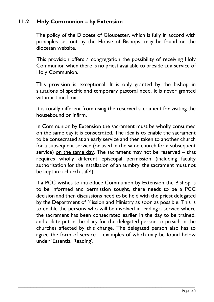### **11.2 Holy Communion – by Extension**

The policy of the Diocese of Gloucester, which is fully in accord with principles set out by the House of Bishops, may be found on the diocesan website.

This provision offers a congregation the possibility of receiving Holy Communion when there is no priest available to preside at a service of Holy Communion.

This provision is exceptional. It is only granted by the bishop in situations of specific and temporary pastoral need. It is never granted without time limit.

It is totally different from using the reserved sacrament for visiting the housebound or infirm.

In Communion by Extension the sacrament must be wholly consumed on the same day it is consecrated. The idea is to enable the sacrament to be consecrated at an early service and then taken to another church for a subsequent service (or used in the same church for a subsequent service) on the same day. The sacrament may not be reserved – that requires wholly different episcopal permission (including faculty authorisation for the installation of an aumbry: the sacrament must not be kept in a church safe!).

If a PCC wishes to introduce Communion by Extension the Bishop is to be informed and permission sought, there needs to be a PCC decision and then discussions need to be held with the priest delegated by the Department of Mission and Ministry as soon as possible. This is to enable the persons who will be involved in leading a service where the sacrament has been consecrated earlier in the day to be trained, and a date put in the diary for the delegated person to preach in the churches affected by this change. The delegated person also has to agree the form of service – examples of which may be found below under 'Essential Reading'.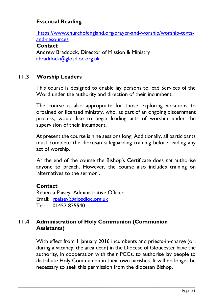### **Essential Reading**

https://www.churchofengland.org/prayer-and-worship/worship-textsand-resources

#### **Contact**

Andrew Braddock, Director of Mission & Ministry [abraddock@glosdioc.org.uk](mailto:abraddock@glosdioc.org.uk)

### **11.3 Worship Leaders**

This course is designed to enable lay persons to lead Services of the Word under the authority and direction of their incumbent.

The course is also appropriate for those exploring vocations to ordained or licensed ministry, who, as part of an ongoing discernment process, would like to begin leading acts of worship under the supervision of their incumbent.

At present the course is nine sessions long. Additionally, all participants must complete the diocesan safeguarding training before leading any act of worship.

At the end of the course the Bishop's Certificate does *not* authorise anyone to preach. However, the course also includes training on 'alternatives to the sermon'.

### **Contact**

Rebecca Paisey, Administrative Officer Email: [rpaisey@glosdioc.org.uk](mailto:rpaisey@glosdioc.org.uk) Tel: 01452 835540

### **11.4 Administration of Holy Communion (Communion Assistants)**

With effect from 1 January 2016 incumbents and priests-in-charge (or, during a vacancy, the area dean) in the Diocese of Gloucester have the authority, in cooperation with their PCCs, to authorise lay people to distribute Holy Communion in their own parishes. It will no longer be necessary to seek this permission from the diocesan Bishop.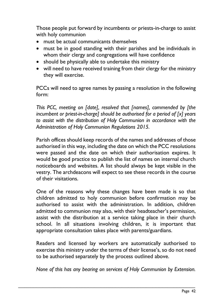Those people put forward by incumbents or priests-in-charge to assist with holy communion

- must be actual communicants themselves
- must be in good standing with their parishes and be individuals in whom their clergy and congregations will have confidence
- should be physically able to undertake this ministry
- will need to have received training from their clergy for the ministry they will exercise.

PCCs will need to agree names by passing a resolution in the following form:

*This PCC, meeting on [date], resolved that [names], commended by [the incumbent or priest-in-charge] should be authorised for a period of [x] years to assist with the distribution of Holy Communion in accordance with the Administration of Holy Communion Regulations 2015.* 

Parish offices should keep records of the names and addresses of those authorised in this way, including the date on which the PCC resolutions were passed and the date on which their authorisation expires. It would be good practice to publish the list of names on internal church noticeboards and websites. A list should always be kept visible in the vestry. The archdeacons will expect to see these records in the course of their visitations.

One of the reasons why these changes have been made is so that children admitted to holy communion before confirmation may be authorised to assist with the administration. In addition, children admitted to communion may also, with their headteacher's permission, assist with the distribution at a service taking place in their church school. In all situations involving children, it is important that appropriate consultation takes place with parents/guardians.

Readers and licensed lay workers are automatically authorised to exercise this ministry under the terms of their license's, so do not need to be authorised separately by the process outlined above.

*None of this has any bearing on services of Holy Communion by Extension.*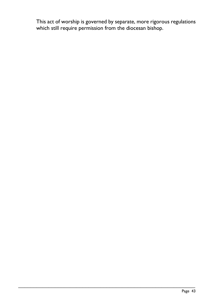This act of worship is governed by separate, more rigorous regulations which still require permission from the diocesan bishop.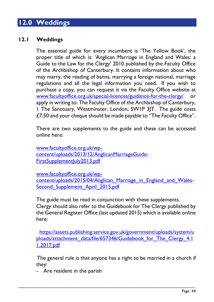## **12.0 Weddings**

### **12.1 Weddings**

The essential guide for every incumbent is 'The Yellow Book', the proper title of which is: 'Anglican Marriage in England and Wales: a Guide to the Law for the Clergy' 2010 published by the Faculty Office of the Archbishop of Canterbury. It contains information about who may marry, the reading of banns, marrying a foreign national, marriage regulations and all the legal information you need. If you wish to purchase a copy, you can request it via the Faculty Office website at [www.facultyoffice.org.uk/special-licences/guidance-for-the-clergy/](http://www.facultyoffice.org.uk/special-licences/guidance-for-the-clergy/) or apply in writing to: The Faculty Office of the Archbishop of Canterbury, 1 The Sanctuary, Westminster, London, SW1P 3JT. The guide costs £7.50 and your cheque should be made payable to "The Faculty Office".

There are two supplements to the guide and these can be accessed online here:

[www.facultyoffice.org.uk/wp](http://www.facultyoffice.org.uk/wp-content/uploads/2013/12/AnglicanMarriageGuide-FirstSupplementJuly2013.pdf)[content/uploads/2013/12/AnglicanMarriageGuide-](http://www.facultyoffice.org.uk/wp-content/uploads/2013/12/AnglicanMarriageGuide-FirstSupplementJuly2013.pdf)[FirstSupplementJuly2013.pdf](http://www.facultyoffice.org.uk/wp-content/uploads/2013/12/AnglicanMarriageGuide-FirstSupplementJuly2013.pdf)

[www.facultyoffice.org.uk/wp](http://www.facultyoffice.org.uk/wp-content/uploads/2015/04/Anglican_Marriage_in_England_and_Wales-Second_Supplement_April_2015.pdf)content/uploads/2015/04/Anglican Marriage in England and Wales-Second Supplement April 2015.pdf

The guide must be read in conjunction with these supplements. Clergy should also refer to the Guidebook for The Clergy published by the General Register Office (last updated 2015) which is available online here:

 [https://assets.publishing.service.gov.uk/government/uploads/system/u](https://assets.publishing.service.gov.uk/government/uploads/system/uploads/attachment_data/file/657346/Guidebook_for_The_Clergy_4.11.2017.pdf) [ploads/attachment\\_data/file/657346/Guidebook\\_for\\_The\\_Clergy\\_4.1](https://assets.publishing.service.gov.uk/government/uploads/system/uploads/attachment_data/file/657346/Guidebook_for_The_Clergy_4.11.2017.pdf) [1.2017.pdf](https://assets.publishing.service.gov.uk/government/uploads/system/uploads/attachment_data/file/657346/Guidebook_for_The_Clergy_4.11.2017.pdf)

 The general rule is that anyone has a right to be married in a church if they:

\_\_\_\_\_\_\_\_\_\_\_\_\_\_\_\_\_\_\_\_\_\_\_\_\_\_\_\_\_\_\_\_\_\_\_\_\_\_\_\_\_\_\_\_\_\_\_\_\_\_\_\_\_\_\_\_\_\_

- Are resident in the parish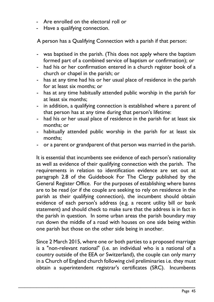- Are enrolled on the electoral roll or
- Have a qualifying connection.

A person has a Qualifying Connection with a parish if that person:

- was baptised in the parish. (This does not apply where the baptism formed part of a combined service of baptism or confirmation); or
- had his or her confirmation entered in a church register book of a church or chapel in the parish; or
- has at any time had his or her usual place of residence in the parish for at least six months; or
- has at any time habitually attended public worship in the parish for at least six months;
- in addition, a qualifying connection is established where a parent of that person has at any time during that person's lifetime:
- had his or her usual place of residence in the parish for at least six months; or
- habitually attended public worship in the parish for at least six months;
- or a parent or grandparent of that person was married in the parish.

 It is essential that incumbents see evidence of each person's nationality as well as evidence of their qualifying connection with the parish. The requirements in relation to identification evidence are set out at paragraph 2.8 of the Guidebook For The Clergy published by the General Register Office. For the purposes of establishing where banns are to be read (or if the couple are seeking to rely on residence in the parish as their qualifying connection), the incumbent should obtain evidence of each person's address (e.g. a recent utility bill or bank statement) and should check to make sure that the address is in fact in the parish in question. In some urban areas the parish boundary may run down the middle of a road with houses on one side being within one parish but those on the other side being in another.

Since 2 March 2015, where one or both parties to a proposed marriage is a "non-relevant national" (i.e. an individual who is a national of a country outside of the EEA or Switzerland), the couple can only marry in a Church of England church following civil preliminaries i.e. they must obtain a superintendent registrar's certificates (SRC). Incumbents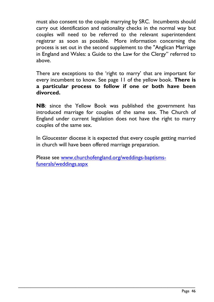must also consent to the couple marrying by SRC. Incumbents should carry out identification and nationality checks in the normal way but couples will need to be referred to the relevant superintendent registrar as soon as possible. More information concerning the process is set out in the second supplement to the "Anglican Marriage in England and Wales: a Guide to the Law for the Clergy" referred to above.

There are exceptions to the 'right to marry' that are important for every incumbent to know. See page 11 of the yellow book. **There is a particular process to follow if one or both have been divorced.**

 **NB**: since the Yellow Book was published the government has introduced marriage for couples of the same sex. The Church of England under current legislation does not have the right to marry couples of the same sex.

 In Gloucester diocese it is expected that every couple getting married in church will have been offered marriage preparation.

 Please see [www.churchofengland.org/weddings-baptisms](http://www.churchofengland.org/weddings-baptisms-funerals/weddings.aspx)[funerals/weddings.aspx](http://www.churchofengland.org/weddings-baptisms-funerals/weddings.aspx)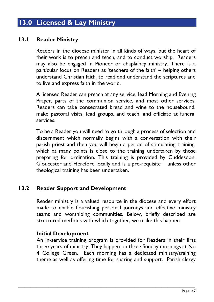## **13.0 Licensed & Lay Ministry**

#### **13.1 Reader Ministry**

Readers in the diocese minister in all kinds of ways, but the heart of their work is to preach and teach, and to conduct worship. Readers may also be engaged in Pioneer or chaplaincy ministry. There is a particular focus on Readers as 'teachers of the faith' – helping others understand Christian faith, to read and understand the scriptures and to live and express faith in the world.

A licensed Reader can preach at any service, lead Morning and Evening Prayer, parts of the communion service, and most other services. Readers can take consecrated bread and wine to the housebound, make pastoral visits, lead groups, and teach, and officiate at funeral services.

To be a Reader you will need to go through a process of selection and discernment which normally begins with a conversation with their parish priest and then you will begin a period of stimulating training, which at many points is close to the training undertaken by those preparing for ordination. This training is provided by Cuddesdon, Gloucester and Hereford locally and is a pre-requisite – unless other theological training has been undertaken.

#### **13.2 Reader Support and Development**

Reader ministry is a valued resource in the diocese and every effort made to enable flourishing personal journeys and effective ministry teams and worshiping communities. Below, briefly described are structured methods with which together, we make this happen.

#### **Initial Development**

An in-service training program is provided for Readers in their first three years of ministry. They happen on three Sunday mornings at No 4 College Green. Each morning has a dedicated ministry/training theme as well as offering time for sharing and support. Parish clergy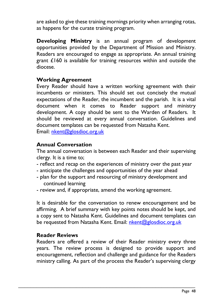are asked to give these training mornings priority when arranging rotas, as happens for the curate training program.

**Developing Ministry** is an annual program of development opportunities provided by the Department of Mission and Ministry. Readers are encouraged to engage as appropriate. An annual training grant £160 is available for training resources within and outside the diocese.

#### **Working Agreement**

Every Reader should have a written working agreement with their incumbents or ministers. This should set out concisely the mutual expectations of the Reader, the incumbent and the parish. It is a vital document when it comes to Reader support and ministry development. A copy should be sent to the Warden of Readers. It should be reviewed at every annual conversation. Guidelines and document templates can be requested from Natasha Kent. Email: [nkent@glosdioc.org.uk](mailto:nkent@glosdioc.org.uk)

#### **Annual Conversation**

The annual conversation is between each Reader and their supervising clergy. It is a time to;

- reflect and recap on the experiences of ministry over the past year
- anticipate the challenges and opportunities of the year ahead
- plan for the support and resourcing of ministry development and continued learning
- review and, if appropriate, amend the working agreement.

It is desirable for the conversation to renew encouragement and be affirming. A brief summary with key points notes should be kept, and a copy sent to Natasha Kent. Guidelines and document templates can be requested from Natasha Kent. Email: [nkent@glosdioc.org.uk](mailto:nkent@glosdioc.org.uk)

#### **Reader Reviews**

Readers are offered a review of their Reader ministry every three years. The review process is designed to provide support and encouragement, reflection and challenge and guidance for the Readers ministry calling. As part of the process the Reader's supervising clergy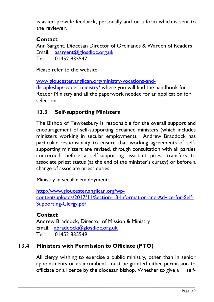is asked provide feedback, personally and on a form which is sent to the reviewer.

### **Contact**

 Ann Sargent, Diocesan Director of Ordinands & Warden of Readers Email: [asargent@glosdioc.org.uk](mailto:asargent@glosdioc.org.uk) Tel: 01452 835547

Please refer to the website

[www.gloucester.anglican.org/ministry-vocations-and](http://www.gloucester.anglican.org/ministry-vocations-and-discipleship/reader-ministry/)[discipleship/reader-ministry/](http://www.gloucester.anglican.org/ministry-vocations-and-discipleship/reader-ministry/) where you will find the handbook for Reader Ministry and all the paperwork needed for an application for selection.

### **13.3 Self-supporting Ministers**

The Bishop of Tewkesbury is responsible for the overall support and encouragement of self-supporting ordained ministers (which includes ministers working in secular employment). Andrew Braddock has particular responsibility to ensure that working agreements of selfsupporting ministers are revised, through consultation with all parties concerned, before a self-supporting assistant priest transfers to associate priest status (at the end of the minister's curacy) or before a change of associate priest duties.

Ministry in secular employment:

[http://www.gloucester.anglican.org/wp](http://www.gloucester.anglican.org/wp-content/uploads/2017/11/Section-13-Information-and-Advice-for-Self-Supporting-Clergy.pdf)[content/uploads/2017/11/Section-13-Information-and-Advice-for-Self-](http://www.gloucester.anglican.org/wp-content/uploads/2017/11/Section-13-Information-and-Advice-for-Self-Supporting-Clergy.pdf)[Supporting-Clergy.pdf](http://www.gloucester.anglican.org/wp-content/uploads/2017/11/Section-13-Information-and-Advice-for-Self-Supporting-Clergy.pdf)

### **Contact**

Andrew Braddock, Director of Mission & Ministry Email: [abraddock@glosdioc.org.uk](mailto:abraddock@glosdioc.org.uk) Tel: 01452 835549

### **13.4 Ministers with Permission to Officiate (PTO)**

All clergy wishing to exercise a public ministry, other than in senior appointments or as incumbent, must be granted either permission to officiate or a licence by the diocesan bishop. Whether to give a self-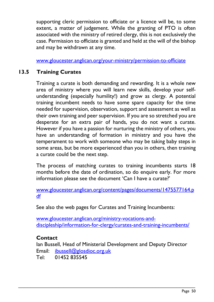supporting cleric permission to officiate or a licence will be, to some extent, a matter of judgement. While the granting of PTO is often associated with the ministry of retired clergy, this is not exclusively the case. Permission to officiate is granted and held at the will of the bishop and may be withdrawn at any time.

[www.gloucester.anglican.org/your-ministry/permission-to-officiate](http://www.gloucester.anglican.org/your-ministry/permission-to-officiate)

### **13.5 Training Curates**

Training a curate is both demanding and rewarding. It is a whole new area of ministry where you will learn new skills, develop your selfunderstanding (especially humility!) and grow as clergy. A potential training incumbent needs to have some spare capacity for the time needed for supervision, observation, support and assessment as well as their own training and peer supervision. If you are so stretched you are desperate for an extra pair of hands, you do not want a curate. However if you have a passion for nurturing the ministry of others, you have an understanding of formation in ministry and you have the temperament to work with someone who may be taking baby steps in some areas, but be more experienced than you in others, then training a curate could be the next step.

The process of matching curates to training incumbents starts 18 months before the date of ordination, so do enquire early. For more information please see the document 'Can I have a curate?'

[www.gloucester.anglican.org/content/pages/documents/1475577164.p](http://www.gloucester.anglican.org/content/pages/documents/1475577164.pdf) [df](http://www.gloucester.anglican.org/content/pages/documents/1475577164.pdf)

See also the web pages for Curates and Training Incumbents:

[www.gloucester.anglican.org/ministry-vocations-and](http://www.gloucester.anglican.org/ministry-vocations-and-discipleship/information-for-clergy/curates-and-training-incumbents/)[discipleship/information-for-clergy/curates-and-training-incumbents/](http://www.gloucester.anglican.org/ministry-vocations-and-discipleship/information-for-clergy/curates-and-training-incumbents/)

### **Contact**

Ian Bussell, Head of Ministerial Development and Deputy Director Email: [ibussell@glosdioc.org.uk](mailto:ibussell@glosdioc.org.uk)

\_\_\_\_\_\_\_\_\_\_\_\_\_\_\_\_\_\_\_\_\_\_\_\_\_\_\_\_\_\_\_\_\_\_\_\_\_\_\_\_\_\_\_\_\_\_\_\_\_\_\_\_\_\_\_\_\_\_

Tel: 01452 835545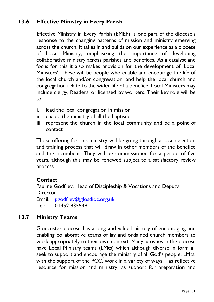### **13.6 Effective Ministry in Every Parish**

Effective Ministry in Every Parish (EMEP) is one part of the diocese's response to the changing patterns of mission and ministry emerging across the church. It takes in and builds on our experience as a diocese of Local Ministry, emphasizing the importance of developing collaborative ministry across parishes and benefices. As a catalyst and focus for this it also makes provision for the development of 'Local Ministers'. These will be people who enable and encourage the life of the local church and/or congregation, and help the local church and congregation relate to the wider life of a benefice. Local Ministers may include clergy, Readers, or licensed lay workers. Their key role will be to:

- i. lead the local congregation in mission
- ii. enable the ministry of all the baptised
- iii. represent the church in the local community and be a point of contact

Those offering for this ministry will be going through a local selection and training process that will draw in other members of the benefice and the incumbent. They will be commissioned for a period of five years, although this may be renewed subject to a satisfactory review process.

### **Contact**

Pauline Godfrey, Head of Discipleship & Vocations and Deputy **Director** 

Email: [pgodfrey@glosdioc.org.uk](mailto:pgodfrey@glosdioc.org.uk) Tel: 01452 835548

### **13.7 Ministry Teams**

Gloucester diocese has a long and valued history of encouraging and enabling collaborative teams of lay and ordained church members to work appropriately to their own context. Many parishes in the diocese have Local Ministry teams (LMts) which although diverse in form all seek to support and encourage the ministry of all God's people. LMts, with the support of the PCC, work in a variety of ways – as reflective resource for mission and ministry; as support for preparation and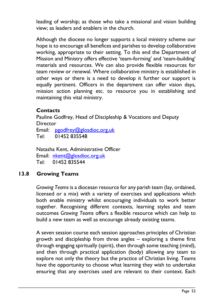leading of worship; as those who take a missional and vision building view; as leaders and enablers in the church.

Although the diocese no longer supports a local ministry scheme our hope is to encourage all benefices and parishes to develop collaborative working, appropriate to their setting. To this end the Department of Mission and Ministry offers effective 'team-forming' and 'team-building' materials and resources. We can also provide flexible resources for team review or renewal. Where collaborative ministry is established in other ways or there is a need to develop it further our support is equally pertinent. Officers in the department can offer vision days, mission action planning etc. to resource you in establishing and maintaining this vital ministry.

#### **Contacts**

Pauline Godfrey, Head of Discipleship & Vocations and Deputy **Director** 

Email: [pgodfrey@glosdioc.org.uk](mailto:pgodfrey@glosdioc.org.uk) Tel: 01452 835548

Natasha Kent, Administrative Officer Email: [nkent@glosdioc.org.uk](mailto:nkent@glosdioc.org.uk) Tel: 01452 835544

### **13.8 Growing Teams**

*Growing Teams* is a diocesan resource for any parish team (lay, ordained, licensed or a mix) with a variety of exercises and applications which both enable ministry whilst encouraging individuals to work better together. Recognising different contexts, learning styles and team outcomes *Growing Teams* offers a flexible resource which can help to build a new team as well as encourage already existing teams.

A seven session course each session approaches principles of Christian growth and discipleship from three angles – exploring a theme first through engaging spiritually (spirit), then through some teaching (mind), and then through practical application (body) allowing any team to explore not only the theory but the practice of Christian living. Teams have the opportunity to choose what learning they wish to undertake ensuring that any exercises used are relevant to their context. Each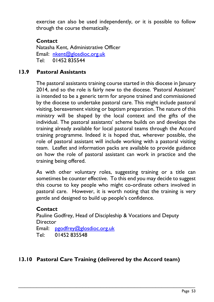exercise can also be used independently, or it is possible to follow through the course thematically.

### **Contact**

Natasha Kent, Administrative Officer Email: [nkent@glosdioc.org.uk](mailto:nkent@glosdioc.org.uk) Tel: 01452 835544

### **13.9 Pastoral Assistants**

The pastoral assistants training course started in this diocese in January 2014, and so the role is fairly new to the diocese. 'Pastoral Assistant' is intended to be a generic term for anyone trained and commissioned by the diocese to undertake pastoral care. This might include pastoral visiting, bereavement visiting or baptism preparation. The nature of this ministry will be shaped by the local context and the gifts of the individual. The pastoral assistants' scheme builds on and develops the training already available for local pastoral teams through the Accord training programme. Indeed it is hoped that, wherever possible, the role of pastoral assistant will include working with a pastoral visiting team. Leaflet and information packs are available to provide guidance on how the role of pastoral assistant can work in practice and the training being offered.

As with other voluntary roles, suggesting training or a title can sometimes be counter effective. To this end you may decide to suggest this course to key people who might co-ordinate others involved in pastoral care. However, it is worth noting that the training is very gentle and designed to build up people's confidence.

#### **Contact**

Pauline Godfrey, Head of Discipleship & Vocations and Deputy **Director** Email: [pgodfrey@glosdioc.org.uk](mailto:pgodfrey@glosdioc.org.uk) Tel: 01452 835548

### **13.10 Pastoral Care Training (delivered by the Accord team)**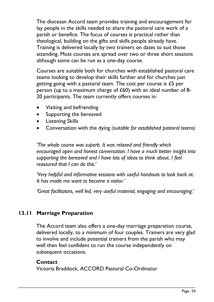The diocesan Accord team provides training and encouragement for lay people in the skills needed to share the pastoral care work of a parish or benefice. The focus of courses is practical rather than theological, building on the gifts and skills people already have. Training is delivered locally by two trainers on dates to suit those attending. Most courses are spread over two or three short sessions although some can be run as a one-day course.

Courses are suitable both for churches with established pastoral care teams looking to develop their skills further and for churches just getting going with a pastoral team. The cost per course is £5 per person (up to a maximum charge of £60) with an ideal number of 8- 20 participants. The team currently offers courses in:

- Visiting and befriending
- Supporting the bereaved
- Listening Skills
- Conversation with the dying *(suitable for established pastoral teams)*

*'The whole course was superb. It was relaxed and friendly which encouraged open and honest conversation. I have a much better insight into supporting the bereaved and I have lots of ideas to think about. I feel reassured that I can do this.'*

*'Very helpful and informative sessions with useful handouts to look back at. It has made me want to become a visitor.'*

*'Great facilitators, well led, very useful material, engaging and encouraging.'*

### **13.11 Marriage Preparation**

The Accord team also offers a one-day marriage preparation course, delivered locally, to a minimum of four couples. Trainers are very glad to involve and include potential trainers from the parish who may well then feel confident to run the course independently on subsequent occasions.

#### **Contact**

Victoria Braddock, ACCORD Pastoral Co-Ordinator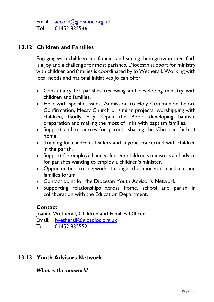Email: [accord@glosdioc.org.uk](mailto:accord@glosdioc.org.uk) Tel: 01452 835546

#### **13.12 Children and Families**

Engaging with children and families and seeing them grow in their faith is a joy and a challenge for most parishes. Diocesan support for ministry with children and families is coordinated by Jo Wetherall. Working with local needs and national initiatives Jo can offer:

- Consultancy for parishes reviewing and developing ministry with children and families.
- Help with specific issues; Admission to Holy Communion before Confirmation, Messy Church or similar projects, worshipping with children, Godly Play, Open the Book, developing baptism preparation and making the most of links with baptism families.
- Support and resources for parents sharing the Christian faith at home.
- Training for children's leaders and anyone concerned with children in the parish.
- Support for employed and volunteer children's ministers and advice for parishes wanting to employ a children's minister.
- Opportunities to network through the diocesan children and families forum.
- Contact point for the Diocesan Youth Advisor's Network.

\_\_\_\_\_\_\_\_\_\_\_\_\_\_\_\_\_\_\_\_\_\_\_\_\_\_\_\_\_\_\_\_\_\_\_\_\_\_\_\_\_\_\_\_\_\_\_\_\_\_\_\_\_\_\_\_\_\_

• Supporting relationships across home, school and parish in collaboration with the Education Department.

#### **Contact**

Joanne Wetherall, Children and Families Officer Email: [jwetherall@glosdioc.org.uk](mailto:jwetherall@glosdioc.org.uk) Tel: 01452 835552

### **13.13 Youth Advisors Network**

*What is the network?*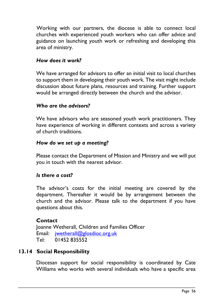Working with our partners, the diocese is able to connect local churches with experienced youth workers who can offer advice and guidance on launching youth work or refreshing and developing this area of ministry.

#### *How does it work?*

We have arranged for advisors to offer an initial visit to local churches to support them in developing their youth work. The visit might include discussion about future plans, resources and training. Further support would be arranged directly between the church and the advisor.

#### *Who are the advisors?*

We have advisors who are seasoned youth work practitioners. They have experience of working in different contexts and across a variety of church traditions.

#### *How do we set up a meeting?*

Please contact the Department of Mission and Ministry and we will put you in touch with the nearest advisor.

#### *Is there a cost?*

The advisor's costs for the initial meeting are covered by the department. Thereafter it would be by arrangement between the church and the advisor. Please talk to the department if you have questions about this.

#### **Contact**

Joanne Wetherall, Children and Families Officer Email: [jwetherall@glosdioc.org.uk](mailto:jwetherall@glosdioc.org.uk) Tel: 01452 835552

### **13.14 Social Responsibility**

Diocesan support for social responsibility is coordinated by Cate Williams who works with several individuals who have a specific area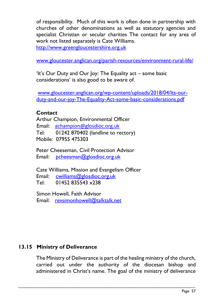of responsibility. Much of this work is often done in partnership with churches of other denominations as well as statutory agencies and specialist Christian or secular charities The contact for any area of work not listed separately is Cate Williams.

[http://www.greengloucestershire.org.uk](http://www.greengloucestershire.org.uk/)

[www.gloucester.anglican.org/parish-resources/environment-rural-life/](http://www.gloucester.anglican.org/parish-resources/environment-rural-life/)

'It's Our Duty and Our Joy: The Equality act – some basic considerations' is also good to be aware of.

[www.gloucester.anglican.org/wp-content/uploads/2018/04/Its-our](http://www.gloucester.anglican.org/wp-content/uploads/2018/04/Its-our-duty-and-our-joy-The-Equality-Act-some-basic-considerations.pdf)[duty-and-our-joy-The-Equality-Act-some-basic-considerations.pdf](http://www.gloucester.anglican.org/wp-content/uploads/2018/04/Its-our-duty-and-our-joy-The-Equality-Act-some-basic-considerations.pdf)

### **Contact**

Arthur Champion, Environmental Officer Email: [achampion@glosdioc.org.uk](mailto:achampion@glosdioc.org.uk) Tel: 01242 870402 (landline to rectory) Mobile: 07955 475303

Peter Cheeseman, Civil Protection Advisor Email: [pcheesman@glosdioc.org.uk](mailto:pcheesman@glosdioc.org.uk)

Cate Williams, Mission and Evangelism Officer Email: [cwilliams@glosdioc.org.uk](mailto:cwilliams@glosdioc.org.uk) Tel: 01452 835543 x238

Simon Howell, Faith Advisor Email: [revsimonhowell@talktalk.net](mailto:revsimonhowell@talktalk.net)

### **13.15 Ministry of Deliverance**

The Ministry of Deliverance is part of the healing ministry of the church, carried out under the authority of the diocesan bishop and administered in Christ's name. The goal of the ministry of deliverance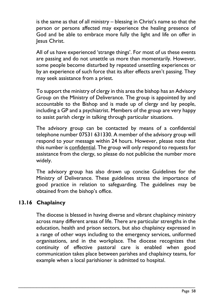is the same as that of all ministry – blessing in Christ's name so that the person or persons affected may experience the healing presence of God and be able to embrace more fully the light and life on offer in Jesus Christ.

All of us have experienced 'strange things'. For most of us these events are passing and do not unsettle us more than momentarily. However, some people become disturbed by repeated unsettling experiences or by an experience of such force that its after effects aren't passing. They may seek assistance from a priest.

To support the ministry of clergy in this area the bishop has an Advisory Group on the Ministry of Deliverance. The group is appointed by and accountable to the Bishop and is made up of clergy and lay people, including a GP and a psychiatrist. Members of the group are very happy to assist parish clergy in talking through particular situations.

The advisory group can be contacted by means of a confidential telephone number 07531 631330. A member of the advisory group will respond to your message within 24 hours. However, please note that this number is confidential. The group will only respond to requests for assistance from the clergy, so please do not publicise the number more widely.

The advisory group has also drawn up concise Guidelines for the Ministry of Deliverance. These guidelines stress the importance of good practice in relation to safeguarding. The guidelines may be obtained from the bishop's office.

### **13.16 Chaplaincy**

The diocese is blessed in having diverse and vibrant chaplaincy ministry across many different areas of life. There are particular strengths in the education, health and prison sectors, but also chaplaincy expressed in a range of other ways including to the emergency services, uniformed organisations, and in the workplace. The diocese recognizes that continuity of effective pastoral care is enabled when good communication takes place between parishes and chaplaincy teams, for example when a local parishioner is admitted to hospital.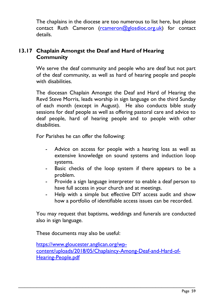The chaplains in the diocese are too numerous to list here, but please contact Ruth Cameron [\(rcameron@glosdioc.org.uk\)](mailto:rcameron@glosdioc.org.uk) for contact details.

### **13.17 Chaplain Amongst the Deaf and Hard of Hearing Community**

We serve the deaf community and people who are deaf but not part of the deaf community, as well as hard of hearing people and people with disabilities.

The diocesan Chaplain Amongst the Deaf and Hard of Hearing the Revd Steve Morris, leads worship in sign language on the third Sunday of each month (except in August). He also conducts bible study sessions for deaf people as well as offering pastoral care and advice to deaf people, hard of hearing people and to people with other disabilities.

For Parishes he can offer the following:

- Advice on access for people with a hearing loss as well as extensive knowledge on sound systems and induction loop systems.
- Basic checks of the loop system if there appears to be a problem.
- Provide a sign language interpreter to enable a deaf person to have full access in your church and at meetings.
- Help with a simple but effective DIY access audit and show how a portfolio of identifiable access issues can be recorded.

You may request that baptisms, weddings and funerals are conducted also in sign language.

These documents may also be useful:

[https://www.gloucester.anglican.org/wp](https://www.gloucester.anglican.org/wp-content/uploads/2018/05/Chaplaincy-Among-Deaf-and-Hard-of-Hearing-People.pdf)[content/uploads/2018/05/Chaplaincy-Among-Deaf-and-Hard-of-](https://www.gloucester.anglican.org/wp-content/uploads/2018/05/Chaplaincy-Among-Deaf-and-Hard-of-Hearing-People.pdf)[Hearing-People.pdf](https://www.gloucester.anglican.org/wp-content/uploads/2018/05/Chaplaincy-Among-Deaf-and-Hard-of-Hearing-People.pdf)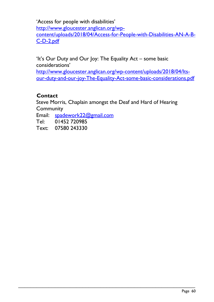'Access for people with disabilities' [http://www.gloucester.anglican.org/wp](http://www.gloucester.anglican.org/wp-content/uploads/2018/04/Access-for-People-with-Disabilities-AN-A-B-C-D-2.pdf)[content/uploads/2018/04/Access-for-People-with-Disabilities-AN-A-B-](http://www.gloucester.anglican.org/wp-content/uploads/2018/04/Access-for-People-with-Disabilities-AN-A-B-C-D-2.pdf)[C-D-2.pdf](http://www.gloucester.anglican.org/wp-content/uploads/2018/04/Access-for-People-with-Disabilities-AN-A-B-C-D-2.pdf)

'It's Our Duty and Our Joy: The Equality Act – some basic considerations' [http://www.gloucester.anglican.org/wp-content/uploads/2018/04/Its-](http://www.gloucester.anglican.org/wp-content/uploads/2018/04/Its-our-duty-and-our-joy-The-Equality-Act-some-basic-considerations.pdf)

[our-duty-and-our-joy-The-Equality-Act-some-basic-considerations.pdf](http://www.gloucester.anglican.org/wp-content/uploads/2018/04/Its-our-duty-and-our-joy-The-Equality-Act-some-basic-considerations.pdf)

### **Contact**

Steve Morris, Chaplain amongst the Deaf and Hard of Hearing **Community** 

\_\_\_\_\_\_\_\_\_\_\_\_\_\_\_\_\_\_\_\_\_\_\_\_\_\_\_\_\_\_\_\_\_\_\_\_\_\_\_\_\_\_\_\_\_\_\_\_\_\_\_\_\_\_\_\_\_\_

Email: [spadework22@gmail.com](mailto:spadework22@gmail.com)

Tel: 01452 720985

Text: 07580 243330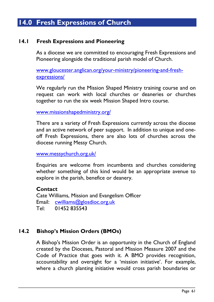## **14.0 Fresh Expressions of Church**

#### **14.1 Fresh Expressions and Pioneering**

As a diocese we are committed to encouraging Fresh Expressions and Pioneering alongside the traditional parish model of Church.

[www.gloucester.anglican.org/your-ministry/pioneering-and-fresh](http://www.gloucester.anglican.org/your-ministry/pioneering-and-fresh-expressions/)[expressions/](http://www.gloucester.anglican.org/your-ministry/pioneering-and-fresh-expressions/)

We regularly run the Mission Shaped Ministry training course and on request can work with local churches or deaneries or churches together to run the six week Mission Shaped Intro course.

[www.missionshapedministry.org/](http://www.missionshapedministry.org/)

There are a variety of Fresh Expressions currently across the diocese and an active network of peer support. In addition to unique and oneoff Fresh Expressions, there are also lots of churches across the diocese running Messy Church.

[www.messychurch.org.uk/](http://www.messychurch.org.uk/)

Enquiries are welcome from incumbents and churches considering whether something of this kind would be an appropriate avenue to explore in the parish, benefice or deanery.

#### **Contact**

Cate Williams, Mission and Evangelism Officer Email: [cwilliams@glosdioc.org.uk](mailto:cwilliams@glosdioc.org.uk) Tel: 01452 835543

### **14.2 Bishop's Mission Orders (BMOs)**

A Bishop's Mission Order is an opportunity in the Church of England created by the Dioceses, Pastoral and Mission Measure 2007 and the Code of Practice that goes with it. A BMO provides recognition, accountability and oversight for a 'mission initiative'. For example, where a church planting initiative would cross parish boundaries or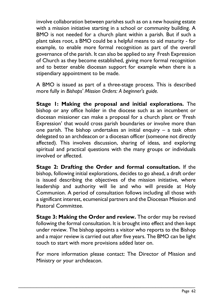involve collaboration between parishes such as on a new housing estate with a mission initiative starting in a school or community building. A BMO is not needed for a church plant within a parish. But if such a plant takes root, a BMO could be a helpful means to aid maturity - for example, to enable more formal recognition as part of the overall governance of the parish. It can also be applied to any Fresh Expression of Church as they become established, giving more formal recognition and to better enable diocesan support for example when there is a stipendiary appointment to be made.

A BMO is issued as part of a three-stage process. This is described more fully in *[Bishops' Mission Orders: A beginner's guide.](http://www.freshexpressions.org.uk/resources/bmoguide)*

**Stage 1: Making the proposal and initial explorations.** The bishop or any office holder in the diocese such as an incumbent or diocesan missioner can make a proposal for a church plant or 'Fresh Expression' that would cross parish boundaries or involve more than one parish. The bishop undertakes an initial enquiry – a task often delegated to an archdeacon or a diocesan officer (someone not directly affected). This involves discussion, sharing of ideas, and exploring spiritual and practical questions with the many groups or individuals involved or affected.

**Stage 2: Drafting the Order and formal consultation.** If the bishop, following initial explorations, decides to go ahead, a draft order is issued describing the objectives of the mission initiative, where leadership and authority will lie and who will preside at Holy Communion. A period of consultation follows including all those with a significant interest, ecumenical partners and the Diocesan Mission and Pastoral Committee.

**Stage 3: Making the Order and review.** The order may be revised following the formal consultation. It is brought into effect and then kept under review. The bishop appoints a visitor who reports to the Bishop and a major review is carried out after five years. The BMO can be light touch to start with more provisions added later on.

For more information please contact: The Director of Mission and Ministry or your archdeacon.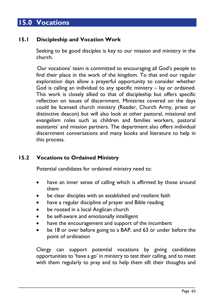## **15.0 Vocations**

### **15.1 Discipleship and Vocation Work**

Seeking to be good disciples is key to our mission and ministry in the church.

 Our vocations' team is committed to encouraging all God's people to find their place in the work of the kingdom. To that end our regular exploration days allow a prayerful opportunity to consider whether God is calling an individual to any specific ministry – lay or ordained. This work is closely allied to that of discipleship but offers specific reflection on issues of discernment. Ministries covered on the days could be licensed church ministry (Reader, Church Army, priest or distinctive deacon) but will also look at other pastoral, missional and evangelism roles such as children and families workers, pastoral assistants' and mission partners. The department also offers individual discernment conversations and many books and literature to help in this process.

### **15.2 Vocations to Ordained Ministry**

Potential candidates for ordained ministry need to:

- have an inner sense of calling which is affirmed by those around them
- be clear disciples with an established and resilient faith
- have a regular discipline of prayer and Bible reading
- be rooted in a local Anglican church
- be self-aware and emotionally intelligent
- have the encouragement and support of the incumbent

\_\_\_\_\_\_\_\_\_\_\_\_\_\_\_\_\_\_\_\_\_\_\_\_\_\_\_\_\_\_\_\_\_\_\_\_\_\_\_\_\_\_\_\_\_\_\_\_\_\_\_\_\_\_\_\_\_\_

be 18 or over before going to a BAP, and 63 or under before the point of ordination

Clergy can support potential vocations by giving candidates opportunities to 'have a go' in ministry to test their calling, and to meet with them regularly to pray and to help them sift their thoughts and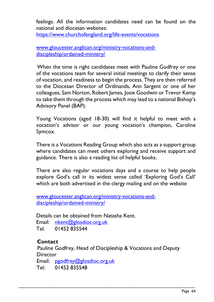feelings. All the information candidates need can be found on the national and diocesan websites:

<https://www.churchofengland.org/life-events/vocations>

[www.gloucester.anglican.org/ministry-vocations-and](http://www.gloucester.anglican.org/ministry-vocations-and-discipleship/ordained-ministry/)[discipleship/ordained-ministry/](http://www.gloucester.anglican.org/ministry-vocations-and-discipleship/ordained-ministry/)

 When the time is right candidates meet with Pauline Godfrey or one of the vocations team for several initial meetings to clarify their sense of vocation, and readiness to begin the process. They are then referred to the Diocesan Director of Ordinands, Ann Sargent or one of her colleagues, Sam Norton, Robert James, Josie Goodwin or Trevor Kemp to take them through the process which may lead to a national Bishop's Advisory Panel (BAP).

Young Vocations (aged 18-30) will find it helpful to meet with a vocation's advisor or our young vocation's champion, Caroline Symcox.

There is a Vocations Reading Group which also acts as a support group where candidates can meet others exploring and receive support and guidance. There is also a reading list of helpful books.

There are also regular vocations days and a course to help people explore God's call in its widest sense called 'Exploring God's Call' which are both advertised in the clergy mailing and on the website

[www.gloucester.anglican.org/ministry-vocations-and](http://www.gloucester.anglican.org/ministry-vocations-and-discipleship/ordained-ministry/)[discipleship/ordained-ministry/](http://www.gloucester.anglican.org/ministry-vocations-and-discipleship/ordained-ministry/)

 Details can be obtained from Natasha Kent. Email: [nkent@glosdioc.org.uk](mailto:nkent@glosdioc.org.uk) Tel: 01452 835544

#### **Contact**

 Pauline Godfrey, Head of Discipleship & Vocations and Deputy **Director** Email: [pgodfrey@glosdioc.org.uk](mailto:pgodfrey@glosdioc.org.uk) Tel: 01452 835548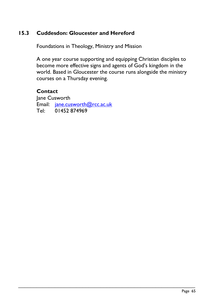### **15.3 Cuddesdon: Gloucester and Hereford**

Foundations in Theology, Ministry and Mission

A one year course supporting and equipping Christian disciples to become more effective signs and agents of God's kingdom in the world. Based in Gloucester the course runs alongside the ministry courses on a Thursday evening.

\_\_\_\_\_\_\_\_\_\_\_\_\_\_\_\_\_\_\_\_\_\_\_\_\_\_\_\_\_\_\_\_\_\_\_\_\_\_\_\_\_\_\_\_\_\_\_\_\_\_\_\_\_\_\_\_\_\_

#### **Contact**

Jane Cusworth Email: [jane.cusworth@rcc.ac.uk](mailto:jane.cusworth@rcc.ac.uk) Tel: 01452 874969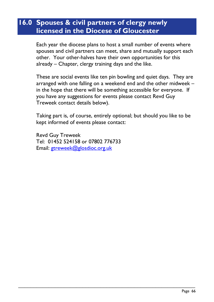## **16.0 Spouses & civil partners of clergy newly licensed in the Diocese of Gloucester**

Each year the diocese plans to host a small number of events where spouses and civil partners can meet, share and mutually support each other. Your other-halves have their own opportunities for this already – Chapter, clergy training days and the like.

These are social events like ten pin bowling and quiet days. They are arranged with one falling on a weekend end and the other midweek – in the hope that there will be something accessible for everyone. If you have any suggestions for events please contact Revd Guy Treweek contact details below).

Taking part is, of course, entirely optional; but should you like to be kept informed of events please contact:

\_\_\_\_\_\_\_\_\_\_\_\_\_\_\_\_\_\_\_\_\_\_\_\_\_\_\_\_\_\_\_\_\_\_\_\_\_\_\_\_\_\_\_\_\_\_\_\_\_\_\_\_\_\_\_\_\_\_

Revd Guy Treweek Tel: 01452 524158 or 07802 776733 Email: [gtreweek@glosdioc.org.uk](mailto:gtreweek@glosdioc.org.uk)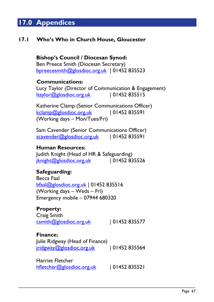## **17.0 Appendices**

### **17.1 Who's Who in Church House, Gloucester**

**Bishop's Council / Diocesan Synod:** Ben Preece Smith (Diocesan Secretary) [bpreecesmith@glosdioc.org.uk](mailto:bpreecesmith@glosdioc.org.uk) | 01452 835523

#### **Communications:**

Lucy Taylor (Director of Communication & Engagement)  $ltaylor@glosdioc.org.uk$  | 01452 835515

Katherine Clamp (Senior Communications Officer) [kclamp@glosdioc.org.uk](mailto:kclamp@glosdioc.org.uk) | 01452 835591 (Working days – Mon/Tues/Fri)

Sam Cavender (Senior Communications Officer) [scavender@glosdioc.org.uk](mailto:scavender@glosdioc.org.uk) | 01452 835591

#### **Human Resources:**

Judith Knight (Head of HR & Safeguarding) [jknight@glosdioc.org.uk](mailto:jknight@glosdioc.org.uk) | 01452 835526

#### **Safeguarding:**

Becca Faal [bfaal@glosdioc.org.uk](mailto:bfaal@glosdioc.org.uk) | 01452 835516 (Working days – Weds – Fri) Emergency mobile – 07944 680320

**Property:** Craig Smith [csmith@glosdioc.org.uk](mailto:csmith@glosdioc.org.uk) | 01452 835577

## **Finance:**

Julie Ridgway (Head of Finance) [jridgway@glosdioc.org.uk](mailto:jridgway@glosdioc.org.uk) | 01452 835564

Harriet Fletcher [hfletcher@glosdioc.org.uk](mailto:hfletcher@glosdioc.org.uk) | 01452 835521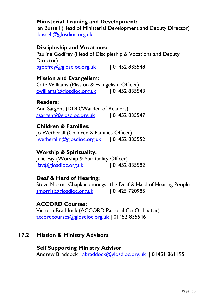### **Ministerial Training and Development:**

Ian Bussell (Head of Ministerial Development and Deputy Director) [ibussell@glosdioc.org.uk](mailto:ibussell@glosdioc.org.uk)

#### **Discipleship and Vocations:**

Pauline Godfrey (Head of Discipleship & Vocations and Deputy Director) [pgodfrey@glosdioc.org.uk](mailto:pgodfrey@glosdioc.org.uk) | 01452 835548

#### **Mission and Evangelism:**

Cate Williams (Mission & Evangelism Officer) [cwilliams@glosdioc.org.uk](mailto:cwilliams@glosdioc.org.uk) | 01452 835543

#### **Readers:**

Ann Sargent (DDO/Warden of Readers) [asargent@glosdioc.org.uk](mailto:asargent@glosdioc.org.uk) | 01452 835547

#### **Children & Families:**

Jo Wetherall (Children & Families Officer) [jwetheralln@glosdioc.org.uk](mailto:jwetheralln@glosdioc.org.uk) | 01452 835552

### **Worship & Spirituality:**

Julie Fay (Worship & Spirituality Officer)  $ifay@g|osdioc.org.uk$  | 01452 835582

### **Deaf & Hard of Hearing:**

Steve Morris, Chaplain amongst the Deaf & Hard of Hearing People [smorris@glosdioc.org.uk](mailto:smorris@glosdioc.org.uk) | 01425 720985

#### **ACCORD Courses:**

Victoria Braddock (ACCORD Pastoral Co-Ordinator) [accordcourses@glosdioc.org.uk](mailto:accordcourses@glosdioc.org.uk) | 01452 835546

#### **17.2 Mission & Ministry Advisors**

**Self Supporting Ministry Advisor** Andrew Braddock | [abraddock@glosdioc.org.uk](mailto:abraddock@glosdioc.org.uk) | 01451 861195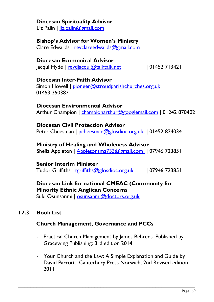#### **Diocesan Spirituality Advisor**

Liz Palin | [liz.palin@gmail.com](mailto:liz.palin@gmail.com)

### **Bishop's Advisor for Women's Ministry**

Clare Edwards | revclareedwards@gmail.com

#### **Diocesan Ecumenical Advisor** Jacqui Hyde | [revdjacqui@talktalk.net](mailto:revdjacqui@talktalk.net) | 01452 713421

# **Diocesan Inter-Faith Advisor**

Simon Howell | [pioneer@stroudparishchurches.org.uk](mailto:pioneer@stroudparishchurches.org.uk)  01453 350387

#### **Diocesan Environmental Advisor**

Arthur Champion | [championarthur@googlemail.com](mailto:championarthur@googlemail.com) | 01242 870402

#### **Diocesan Civil Protection Advisor** Peter Cheesman | [pcheesman@glosdioc.org.uk](mailto:pcheesman@glosdioc.org.uk) | 01452 824034

## **Ministry of Healing and Wholeness Advisor**

Sheila Appleton | [Appletonsma733@gmail.com](mailto:Appletonsma733@gmail.com) | 07946 723851

### **Senior Interim Minister**

Tudor Griffiths | [tgriffiths@glosdioc.org.uk](mailto:tgriffiths@glosdioc.org.uk) | 07946 723851

### **Diocesan Link for national CMEAC (Community for Minority Ethnic Anglican Concerns**

Suki Osunsanmi | [osunsanmi@doctors.org.uk](mailto:osunsanmi@doctors.org.uk)

### **17.3 Book List**

### **Church Management, Governance and PCCs**

- Practical Church Management by James Behrens. Published by Gracewing Publishing; 3rd edition 2014
- Your Church and the Law: A Simple Explanation and Guide by [David Parrott.](http://www.amazon.co.uk/David-Parrott/e/B001HCUT5G/ref=dp_byline_cont_book_1) Canterbury Press Norwich; 2nd Revised edition 2011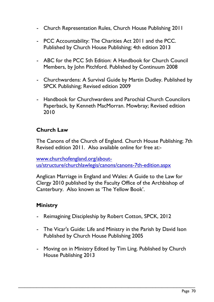- Church Representation Rules, Church House Publishing 2011
- PCC Accountability: The Charities Act 2011 and the PCC. Published by Church House Publishing; 4th edition 2013
- ABC for the PCC 5th Edition: A Handbook for Church Council Members, by [John Pitchford.](http://www.amazon.co.uk/s/ref=dp_byline_sr_book_1?ie=UTF8&field-author=John+Pitchford&search-alias=books-uk&text=John+Pitchford&sort=relevancerank) Published by Continuum 2008
- Churchwardens: A Survival Guide by [Martin Dudley.](http://www.amazon.co.uk/Martin-Dudley/e/B0034NMYJ0/ref=dp_byline_cont_book_1) Published by SPCK Publishing; Revised edition 2009
- Handbook for Churchwardens and Parochial Church Councilors Paperback, by [Kenneth MacMorran.](http://www.amazon.co.uk/s/ref=dp_byline_sr_book_1?ie=UTF8&field-author=Kenneth+MacMorran&search-alias=books-uk&text=Kenneth+MacMorran&sort=relevancerank) Mowbray; Revised edition 2010

### **Church Law**

The Canons of the Church of England. Church House Publishing; 7th Revised edition 2011. Also available online for free at:-

[www.churchofengland.org/about](http://www.churchofengland.org/about-us/structure/churchlawlegis/canons/canons-7th-edition.aspx)[us/structure/churchlawlegis/canons/canons-7th-edition.aspx](http://www.churchofengland.org/about-us/structure/churchlawlegis/canons/canons-7th-edition.aspx)

Anglican Marriage in England and Wales: A Guide to the Law for Clergy 2010 published by the Faculty Office of the Archbishop of Canterbury. Also known as 'The Yellow Book'.

### **Ministry**

- Reimagining Discipleship by Robert Cotton, SPCK, 2012
- The Vicar's Guide: Life and Ministry in the Parish by [David Ison](http://www.amazon.co.uk/s/ref=dp_byline_sr_book_1?ie=UTF8&field-author=David+Ison&search-alias=books-uk&text=David+Ison&sort=relevancerank) Published by Church House Publishing 2005
- Moving on in Ministry Edited by Tim Ling. Published by Church House Publishing 2013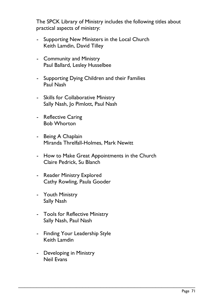The SPCK Library of Ministry includes the following titles about practical aspects of ministry:

- [Supporting New Ministers in the Local Church](http://www.spckpublishing.co.uk/shop/supporting-new-ministers-in-the-local-church/) Keith Lamdin, David Tilley
- [Community and Ministry](http://www.spckpublishing.co.uk/shop/community-and-ministry/) Paul Ballard, Lesley Husselbee
- [Supporting Dying Children](http://www.spckpublishing.co.uk/shop/supporting-dying-children-and-their-families/) and their Families Paul Nash
- [Skills for Collaborative Ministry](http://www.spckpublishing.co.uk/shop/skills-for-collaborative-ministry-2/) Sally Nash, Jo Pimlott, Paul Nash
- [Reflective Caring](http://www.spckpublishing.co.uk/shop/reflective-caring/) Bob Whorton
- [Being A Chaplain](http://www.spckpublishing.co.uk/shop/being-a-chaplain/) Miranda Threlfall-Holmes, Mark Newitt
- [How to Make Great Appointments in the Church](http://www.spckpublishing.co.uk/shop/how-to-make-great-appointments-in-the-church/) Claire Pedrick, Su Blanch

- [Reader Ministry Explored](http://www.spckpublishing.co.uk/shop/reader-ministry-explored-2/) Cathy Rowling, Paula Gooder
- [Youth Ministry](http://www.spckpublishing.co.uk/shop/youth-ministry/) Sally Nash
- [Tools for Reflective Ministry](http://www.spckpublishing.co.uk/shop/tools-for-reflective-ministry-2/) Sally Nash, Paul Nash
- [Finding Your Leadership Style](http://www.spckpublishing.co.uk/shop/finding-your-leadership-style/) Keith Lamdin
- [Developing in Ministry](http://www.spckpublishing.co.uk/shop/developing-in-ministry/) Neil Evans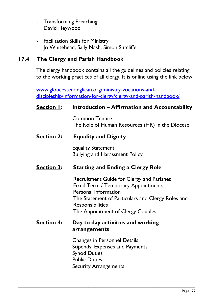- [Transforming Preaching](http://www.spckpublishing.co.uk/shop/transforming-preaching/) David Heywood
- [Facilitation Skills for Ministry](http://www.spckpublishing.co.uk/shop/facilitation-skills-for-ministry/) Jo Whitehead, Sally Nash, Simon Sutcliffe

### **17.4 The Clergy and Parish Handbook**

The clergy handbook contains all the guidelines and policies relating to the working practices of all clergy. It is online using the link below:

[www.gloucester.anglican.org/ministry-vocations-and](http://www.gloucester.anglican.org/ministry-vocations-and-discipleship/information-for-clergy/clergy-and-parish-handbook/)[discipleship/information-for-clergy/clergy-and-parish-handbook/](http://www.gloucester.anglican.org/ministry-vocations-and-discipleship/information-for-clergy/clergy-and-parish-handbook/)

#### **Section 1: Introduction – Affirmation and Accountability**

Common Tenure The Role of Human Resources (HR) in the Diocese

#### **Section 2: Equality and Dignity**

Equality Statement Bullying and Harassment Policy

#### **Section 3: Starting and Ending a Clergy Role**

Recruitment Guide for Clergy and Parishes Fixed Term / Temporary Appointments Personal Information The Statement of Particulars and Clergy Roles and Responsibilities The Appointment of Clergy Couples

#### **Section 4: Day to day activities and working arrangements**

Changes in Personnel Details Stipends, Expenses and Payments Synod Duties Public Duties Security Arrangements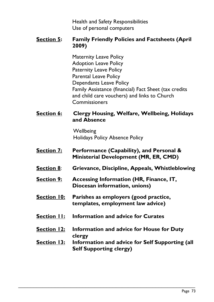Health and Safety Responsibilities Use of personal computers

#### **Section 5: Family Friendly Policies and Factsheets (April 2009)**

Maternity Leave Policy Adoption Leave Policy Paternity Leave Policy Parental Leave Policy Dependants Leave Policy Family Assistance (financial) Fact Sheet (tax credits and child care vouchers) and links to Church Commissioners

### **Section 6: Clergy Housing, Welfare, Wellbeing, Holidays and Absence**

**Wellbeing** Holidays Policy Absence Policy

- **Section 7: Performance (Capability), and Personal & Ministerial Development (MR, ER, CMD)**
- **Section 8**: **Grievance, Discipline, Appeals, Whistleblowing**
- **Section 9: Accessing Information (HR, Finance, IT, Diocesan information, unions)**
- **Section 10: Parishes as employers (good practice, templates, employment law advice)**
- **Section 11: Information and advice for Curates**
- **Section 12: Information and advice for House for Duty clergy**

\_\_\_\_\_\_\_\_\_\_\_\_\_\_\_\_\_\_\_\_\_\_\_\_\_\_\_\_\_\_\_\_\_\_\_\_\_\_\_\_\_\_\_\_\_\_\_\_\_\_\_\_\_\_\_\_\_\_

#### **Section 13: Information and advice for Self Supporting (all Self Supporting clergy)**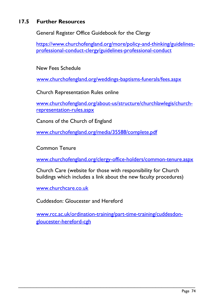## **17.5 Further Resources**

General Register Office Guidebook for the Clergy

[https://www.churchofengland.org/more/policy-and-thinking/guidelines](https://www.churchofengland.org/more/policy-and-thinking/guidelines-professional-conduct-clergy/guidelines-professional-conduct)[professional-conduct-clergy/guidelines-professional-conduct](https://www.churchofengland.org/more/policy-and-thinking/guidelines-professional-conduct-clergy/guidelines-professional-conduct)

New Fees Schedule

[www.churchofengland.org/weddings-baptisms-funerals/fees.aspx](http://www.churchofengland.org/weddings-baptisms-funerals/fees.aspx)

Church Representation Rules online

[www.churchofengland.org/about-us/structure/churchlawlegis/church](http://www.churchofengland.org/about-us/structure/churchlawlegis/church-representation-rules.aspx)[representation-rules.aspx](http://www.churchofengland.org/about-us/structure/churchlawlegis/church-representation-rules.aspx)

Canons of the Church of England

[www.churchofengland.org/media/35588/complete.pdf](http://www.churchofengland.org/media/35588/complete.pdf)

Common Tenure

[www.churchofengland.org/clergy-office-holders/common-tenure.aspx](http://www.churchofengland.org/clergy-office-holders/common-tenure.aspx)

Church Care (website for those with responsibility for Church buildings which includes a link about the new faculty procedures)

[www.churchcare.co.uk](http://www.churchcare.co.uk/)

Cuddesdon: Gloucester and Hereford

[www.rcc.ac.uk/ordination-training/part-time-training/cuddesdon](http://www.rcc.ac.uk/ordination-training/part-time-training/cuddesdon-gloucester-hereford-cgh)[gloucester-hereford-cgh](http://www.rcc.ac.uk/ordination-training/part-time-training/cuddesdon-gloucester-hereford-cgh)

\_\_\_\_\_\_\_\_\_\_\_\_\_\_\_\_\_\_\_\_\_\_\_\_\_\_\_\_\_\_\_\_\_\_\_\_\_\_\_\_\_\_\_\_\_\_\_\_\_\_\_\_\_\_\_\_\_\_